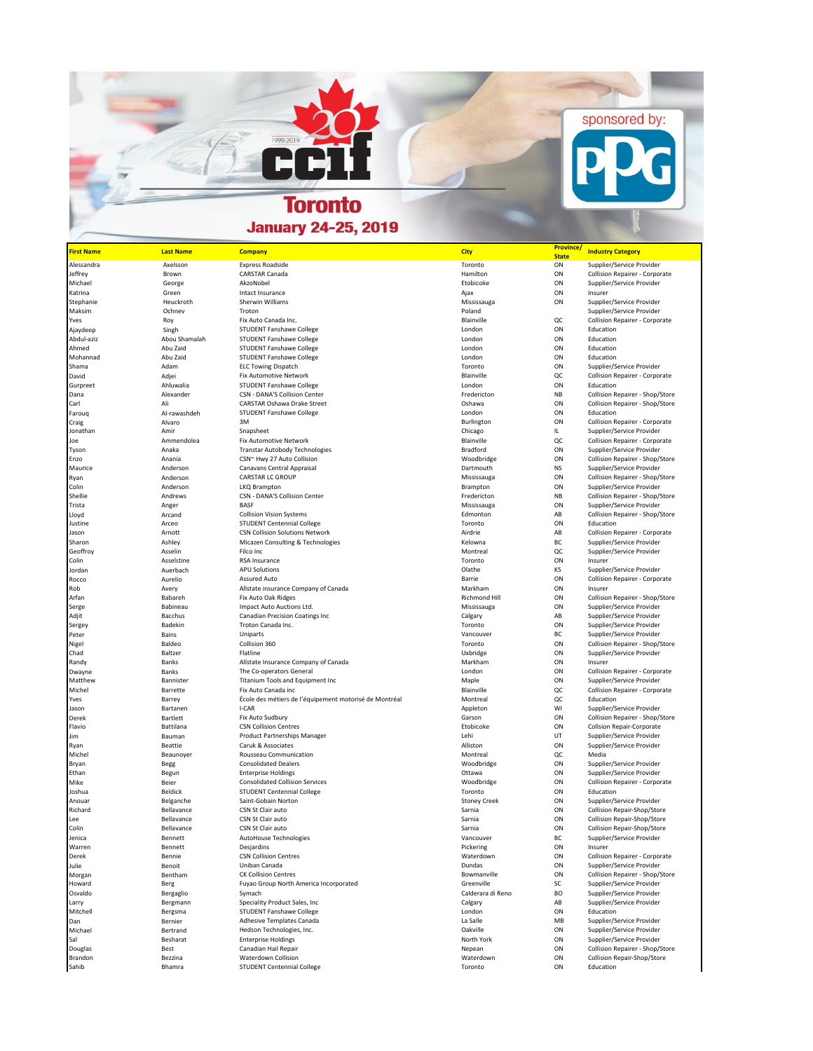## **Toronto January 24-25, 2019**

| <b>First Name</b> | <b>Last Name</b>  | <b>Company</b>                                         | <b>City</b>         | <b>Province</b><br><b>State</b> | <b>Industry Category</b>         |
|-------------------|-------------------|--------------------------------------------------------|---------------------|---------------------------------|----------------------------------|
| Alessandra        | Axelsson          | <b>Express Roadside</b>                                | Toronto             | ON                              | Supplier/Service Provider        |
| Jeffrey           | Brown             | <b>CARSTAR Canada</b>                                  | Hamilton            | ON                              | Collision Repairer - Corporate   |
| Michael           | George            | AkzoNobel                                              | Etobicoke           | ON                              | Supplier/Service Provider        |
| Katrina           | Green             | Intact Insurance                                       | Ajax                | ON                              | Insurer                          |
| Stephanie         | Heuckroth         | Sherwin Williams                                       | Mississauga         | ON                              | Supplier/Service Provider        |
| Maksim            | Ochnev            | Troton                                                 | Poland              |                                 | Supplier/Service Provider        |
| Yves              | Roy               | Fix Auto Canada Inc.                                   | Blainville          | QC                              | Collision Repairer - Corporate   |
| Ajaydeep          | Singh             | STUDENT Fanshawe College                               | London              | ON                              | Education                        |
| Abdul-aziz        | Abou Shamalah     | STUDENT Fanshawe College                               | London              | ON                              | Education                        |
| Ahmed             | Abu Zaid          | <b>STUDENT Fanshawe College</b>                        | London              | ON                              | Education                        |
| Mohannad          | Abu Zaid          | <b>STUDENT Fanshawe College</b>                        | London              | ON                              | Education                        |
| Shama             | Adam              | <b>ELC Towing Dispatch</b>                             | Toronto             | ON                              | Supplier/Service Provider        |
| David             | Adjei             | Fix Automotive Network                                 | Blainville          | QC                              | Collision Repairer - Corporate   |
| Gurpreet          | Ahluwalia         | STUDENT Fanshawe College                               | London              | ON                              | Education                        |
|                   |                   | CSN - DANA'S Collision Center                          | Fredericton         | <b>NB</b>                       | Collision Repairer - Shop/Store  |
| Dana<br>Carl      | Alexander<br>Ali  | <b>CARSTAR Oshawa Drake Street</b>                     | Oshawa              | ON                              | Collision Repairer - Shop/Store  |
|                   |                   | <b>STUDENT Fanshawe College</b>                        | London              | ON                              | Education                        |
| Faroug            | Al-rawashdeh      |                                                        |                     | ON                              |                                  |
| Craig             | Alvaro<br>Amir    | 3M                                                     | Burlington          |                                 | Collision Repairer - Corporate   |
| Jonathan          |                   | Snapsheet                                              | Chicago             | IL.                             | Supplier/Service Provider        |
| Joe               | Ammendolea        | Fix Automotive Network                                 | Blainville          | QC                              | Collision Repairer - Corporate   |
| Tyson             | Anaka             | <b>Transtar Autobody Technologies</b>                  | Bradford            | ON                              | Supplier/Service Provider        |
| Enzo              | Anania            | CSN~ Hwy 27 Auto Collision                             | Woodbridge          | ON                              | Collision Repairer - Shop/Store  |
| Maurice           | Anderson          | Canavans Central Appraisal                             | Dartmouth           | <b>NS</b>                       | Supplier/Service Provider        |
| Ryan              | Anderson          | CARSTAR LC GROUP                                       | Mississauga         | ON                              | Collision Repairer - Shop/Store  |
| Colin             | Anderson          | LKQ Brampton                                           | Brampton            | ON                              | Supplier/Service Provider        |
| Shellie           | Andrews           | CSN - DANA'S Collision Center                          | Fredericton         | <b>NB</b>                       | Collision Repairer - Shop/Store  |
| Trista            | Anger             | <b>BASF</b>                                            | Mississauga         | ON                              | Supplier/Service Provider        |
| Lloyd             | Arcand            | <b>Collision Vision Systems</b>                        | Edmonton            | AB                              | Collision Repairer - Shop/Store  |
| Justine           | Arceo             | <b>STUDENT Centennial College</b>                      | Toronto             | ON                              | Education                        |
| Jason             | Arnott            | <b>CSN Collision Solutions Network</b>                 | Airdrie             | AB                              | Collision Repairer - Corporate   |
| Sharon            | Ashley            | Micazen Consulting & Technologies                      | Kelowna             | BC                              | Supplier/Service Provider        |
| Geoffroy          | Asselin           | Filco Inc                                              | Montreal            | QC                              | Supplier/Service Provider        |
| Colin             | Asselstine        | RSA Insurance                                          | Toronto             | ON                              | Insurer                          |
| Jordan            | Auerbach          | <b>APU Solutions</b>                                   | Olathe              | KS                              | Supplier/Service Provider        |
| Rocco             | Aurelio           | <b>Assured Auto</b>                                    | Barrie              | ON                              | Collision Repairer - Corporate   |
| Rob               | Avery             | Allstate insurance Company of Canada                   | Markham             | ON                              | Insurer                          |
| Arfan             | Babareh           | Fix Auto Oak Ridges                                    | Richmond Hill       | ON                              | Collision Repairer - Shop/Store  |
| Serge             | Babineau          | Impact Auto Auctions Ltd.                              | Mississauga         | ON                              | Supplier/Service Provider        |
| Adjit             | Bacchus           | Canadian Precision Coatings Inc                        | Calgary             | AB                              | Supplier/Service Provider        |
| Sergey            | Badekin           | Troton Canada Inc.                                     | Toronto             | ON                              | Supplier/Service Provider        |
| Peter             | Bains             | Uniparts                                               | Vancouver           | BC                              | Supplier/Service Provider        |
| Nigel             | Baldeo            | Collision 360                                          | Toronto             | ON                              | Collision Repairer - Shop/Store  |
| Chad              | Baltzer           | Flatline                                               | Uxbridge            | ON                              | Supplier/Service Provider        |
| Randy             | Banks             | Allstate Insurance Company of Canada                   | Markham             | ON                              | Insurer                          |
| Dwayne            | Banks             | The Co-operators General                               | London              | ON                              | Collision Repairer - Corporate   |
| Matthew           | Bannister         | Titanium Tools and Equipment Inc                       | Maple               | ON                              | Supplier/Service Provider        |
| Michel            | Barrette          | Fix Auto Canada inc                                    | Blainville          | QC                              | Collision Repairer - Corporate   |
| Yves              | Barrey            | École des métiers de l'équipement motorisé de Montréal | Montreal            | QC                              | Education                        |
| Jason             | Bartanen          | I-CAR                                                  | Appleton            | WI                              | Supplier/Service Provider        |
| Derek             | Bartlett          | Fix Auto Sudbury                                       | Garson              | ON                              | Collision Repairer - Shop/Store  |
| Flavio            | Battilana         | <b>CSN Collision Centres</b>                           | Etobicoke           | ON                              | <b>Collsion Repair-Corporate</b> |
| Jim               | Bauman            | <b>Product Partnerships Manager</b>                    | Lehi                | UT                              | Supplier/Service Provider        |
| Ryan              | Beattie           | Caruk & Associates                                     | Alliston            | ON                              | Supplier/Service Provider        |
| Michel            | Beaunoyer         | Rousseau Communication                                 | Montreal            | QC                              | Media                            |
| Bryan             | Begg              | <b>Consolidated Dealers</b>                            | Woodbridge          | ON                              | Supplier/Service Provider        |
| Ethan             | Begun             | <b>Enterprise Holdings</b>                             | Ottawa              | ON                              | Supplier/Service Provider        |
| Mike              | Beier             | <b>Consolidated Collision Services</b>                 | Woodbridge          | ON                              | Collision Repairer - Corporate   |
| Joshua            | Beldick           | <b>STUDENT Centennial College</b>                      | Toronto             | ON                              | Education                        |
| Anouar            | Belganche         | Saint-Gobain Norton                                    | <b>Stoney Creek</b> | ON                              | Supplier/Service Provider        |
| Richard           | Bellavance        | CSN St Clair auto                                      | Sarnia              | ON                              | Collision Repair-Shop/Store      |
| Lee               | Bellavance        | CSN St Clair auto                                      | Sarnia              | ON                              | Collision Repair-Shop/Store      |
| Colin             | Bellavance        | CSN St Clair auto                                      | Sarnia              | ON                              | Collision Repair-Shop/Store      |
| Jenica            | Bennett           | AutoHouse Technologies                                 | Vancouver           | BC.                             | Supplier/Service Provider        |
| Warren            | Bennett           | Desjardins                                             | Pickering           | ON                              | Insurer                          |
| Derek             | Bennie            | <b>CSN Collision Centres</b>                           | Waterdown           | ON                              | Collision Repairer - Corporate   |
|                   |                   | Uniban Canada                                          | Dundas              | ON                              | Supplier/Service Provider        |
| Julie<br>Morgan   | Benoit<br>Bentham | <b>CK Collision Centres</b>                            | Bowmanville         | ON                              | Collision Repairer - Shop/Store  |
| Howard            |                   | Fuyao Group North America Incorporated                 | Greenville          | SC                              | Supplier/Service Provider        |
| Osvaldo           | Berg              | Symach                                                 | Calderara di Reno   | <b>BO</b>                       | Supplier/Service Provider        |
|                   | Bergaglio         | Speciality Product Sales, Inc.                         |                     |                                 |                                  |
| Larry             | Bergmann          |                                                        | Calgary             | AB                              | Supplier/Service Provider        |
| Mitchell          | Bergsma           | STUDENT Fanshawe College                               | London              | ON                              | Education                        |
| Dan               | Bernier           | Adhesive Templates Canada                              | La Salle            | MB                              | Supplier/Service Provider        |
| Michael           | Bertrand          | Hedson Technologies, Inc.                              | Oakville            | ON                              | Supplier/Service Provider        |
| Sal               | Besharat          | <b>Enterprise Holdings</b>                             | North York          | ON                              | Supplier/Service Provider        |
| Douglas           | Best              | Canadian Hail Repair                                   | Nepean              | ON                              | Collision Repairer - Shop/Store  |
| Brandon           | Bezzina           | Waterdown Collision                                    | Waterdown           | ON                              | Collision Repair-Shop/Store      |
| Sahib             | Bhamra            | <b>STUDENT Centennial College</b>                      | Toronto             | ON                              | Education                        |

sponsored by:

1999-2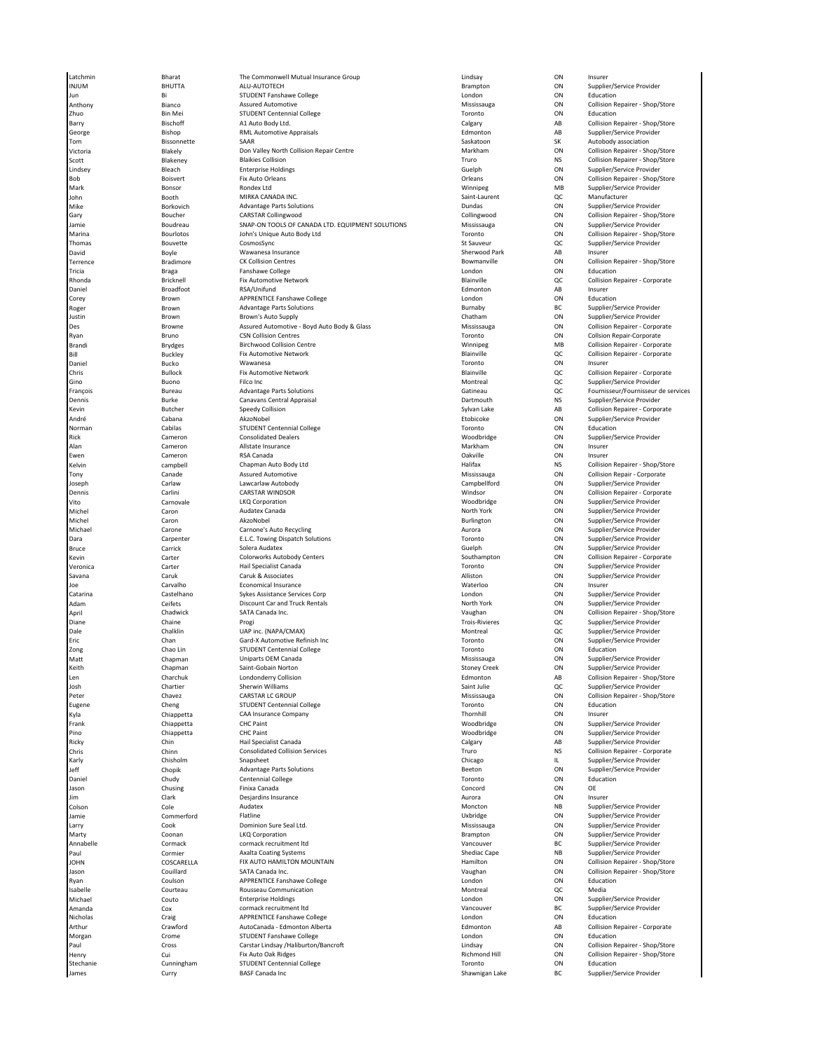Latchmin Bharat The Commonwell Mutual Insurance Group Lindsay ON Insurer INJUM BHUTTA ALU-AUTOTECH Brampton ON Supplier/Service Provider Jun Bi STUDENT Fanshawe College London ON Education Anthony Bianco Assured Automotive Mississauga ON Collision Repairer - Shop/Store Bin Mei STUDENT Centennial College Communication on the Toronto College Toronto College Toronto College College<br>The Manus Add Auto Body Ltd. Barry Bischoff A1 Auto Body Ltd. Calgary AB Collision Repairer - Shop/Store George Sishop Bishop RML Automotive Appraisals Edmonton Edmonton AB Supplier/Service Provider Tom Bissonnette SAAR Saskatoon SK Autobody association Victoria Blakely Don Valley North Collision Repair Centre Markham ON Collision Repairer - Shop/Store Lindsey Bleach Enterprise Holdings Guelph ON Supplier/Service Provider Boisvert Fix Auto Orleans (General Auto Collision Repairer - Shop/Store Provider Provider Provider Provider Pro<br>Bonsor Rondex Ltd (General Auto Orleans ) (General Auto Provider Provider Provider Provider Provider Provider<br> Mark **Bonsor Community Rondex Ltd** Winnipeg MB Supplier/Service Provider Rondex Ltd John Booth MIRKA CANADA INC. Saint-Laurent QC Manufacturer Mike Sorkovich Matematic Advantage Parts Solutions (and the Supplier/Service Provider Matematic Provider Advantage Parts Solutions Control Dundas Dundas ON Supplier/Service Provider<br>Dundary Dundar Schen Schen (CARSTAR Coll omie Goudreau SNAP-ON TOOLS OF CANADA LTD. EQUIPMENT SOLUTIONS Mississauga ON Supplier/Service Provider<br>Antina Supplier/Service Provider John's Unique Auto Body Ltd Studies (Discussion of Collision Repairer - Shop/Store John's Unique Auto Body Ltd Thomas Supplier/Service Provider CosmosSync St Sauveur St Sauveur St Sauveur QC Supplier/Service Provider (Service Provider Supplier/Service Provider Supplier/Service Provider Supplier/Service Provider Supplier/Service Pro -<br>David Boyle Boyle Wawanesa Insurance Sherwood Park Sherwood Park AB Insurer Park AB Insurer<br>Sherwood Paralimore Sherwood CK Collision Centres Terrence **Source Bradimore CK Collision Centres** Bowmanville Bowmanville ON Collision Repairer - Shop/Store Tricia 2012 - Braga Ranshawe College London Discovery London Discovery Collection ON Education Rhonda Bricknell Fix Automotive Network Blainville QC Collision Repairer - Corporate Daniel Broadfoot RSA/Unifund Edmonton AB Insurer Corey Brown APPRENTICE Fanshawe College London ON Education **Advantage Parts Solutions** Justin Brown Brown's Auto Supply Chatham ON Supplier/Service Provider es and the man of the extent of the Boyd Auto Body & Glass and the Mississauga on the Collision Repairer - Corporate<br>Des Browne Mississauga ON Collision Centres Auto Body & Glass Mississauga ON Collision Repair-Corporate<br>V Brandi Brydges Birchwood Collision Centre Winnipeg MB Collision Repairer - Corporate Bill Buckley Fix Automotive Network Blainville QC Collision Repairer - Corporate Daniel Bucko Wawanesa Toronto ON Insurer Chris Bullock Fix Automotive Network Blainville QC Collision Repairer - Corporate Gino 1992 - Gino Buono Pilco Inc<br>Gino Buono Picto Inchesia del Buono Filco Inc<br>1991 - Hancois Catineau Party Advantage Parts Solutions - Catine - Gatineau Gatineau CC Fournisseur/Fournisseur Dennis Burke Canavans Central Appraisal Dartmouth NS Supplier/Service Provider André Cabana AkzoNobel Etobicoke ON Supplier/Service Provider Norman Cabilas STUDENT Centennial College Toronto ON Education Alan Cameron Allstate Insurance Markham ON Insurer Ewen Cameron RSA Canada Oakville ON Insurer Kelvin campbell Chapman Auto Body Ltd Halifax NS Collision Repairer - Shop/Store Tony Canade Assured Automotive Mississauga ON Collision Repair - Corporate oseph Carlaw Carlaw Lawcarlaw Autobody (Campbellford Campbellford ON Supplier/Service Provider Carlaw Carlaw Carlaw<br>Johnnis Carlini CARSTAR WINDSOR (Carlini CARSTAR WINDSOR Windsor Campbellford ON Collision Renairer - Corp Dennis Carlini CARSTAR WINDSOR Windsor ON Collision Repairer - Corporate Vito Carnovale LKQ Corporation Corporation City Corporation Corporation City Corporation City Corporation City Michel Caron Audatex Canada North York ON Supplier/Service Provider Michel Caron AkzoNobel Burlington ON Supplier/Service Provider Michael Carone Carnone's Auto Recycling Aurora ON Supplier/Service Provider E.L.C. Towing Dispatch Solutions Bruce Carrick Carrick Solera Audatex Soleta Audatex Carrick Soleta Audatex Carrick Supplier/Service Provider Supplier/Service Provider Kevin Carter Colorworks Autobody Centers Southampton ON Collision Repairer - Corporate Veronica Carter Hail Specialist Canada Toronto ON Supplier/Service Provider Savana Caruk Caruk & Associates Alliston ON Supplier/Service Provider Joe Carvalho Economical Insurance Waterloo ON Insurer Catelhano Sykes Assistance Services Corp Castellano Sykes Assistance Services Corp Castellano Castelhano Supplier/Service Provider Adam Ceifets Discount Car and Truck Rentals North York ON Supplier/Service Provider April Chadwick SATA Canada Inc. Vaughan ON Collision Repairer - Shop/Store Diane Chaine Progi Trois-Rivieres QC Supplier/Service Provider Dale وDale Chalklin Mare inc. (NAPA/CMAX)<br>Chan Gard-X Automotive Refinish Inc (NAPA) and the montreal Toronto on Supplier/Service Provider (Grand Harbor<br>Chan Gard-X Automotive Refinish Inc (The Toronto Toronto on Supplier Eric Chan Gard-X Automotive Refinish Inc Chan Gard-X Automotive Refinish Inc Toronto ON STUDENT Centennial College Zong Chao Lin STUDENT Centennial College Toronto ON Education Matt Chapman Uniparts OEM Canada Mississauga ON Supplier/Service Provider Keith Chapman Saint-Gobain Norton Stoney Creek ON Supplier/Service Provider en بواري Charchuk Londonderry Collision بواري Londonderry Collision Edmonton و AB Collision Repairer - Shop/Store<br>1990 - Supplier/Service Provider مست Sherwin Williams (Saint Julie Saint Julie مست QC Supplier/Service Prov Month Chartier Sherwin Williams<br>1999 - The Supplier/Service Provider Sherwin Williams<br>1999 - Peter Mississauga CARSTAR LC GROUP - Shephen Mississauga Sherwice Collision Repairer - Shop Eugene Cheng STUDENT Centennial College Toronto ON Education Kyla Chiappetta CAA Insurance Company Thornhill ON Insurer Frank Chiappetta CHC Paint CHC Paint CHC Paint CHC Paint CHC Paint CHC Paint CHC Paint CHC Provider CHC Paint CHC Paint CHC Paint CHC Paint CHC Paint CHC Paint CHC Paint CHC Paint CHC Paint CHC Paint CHC Paint CHC Paint CH Pino Supplier/Service Provider CHC Paint CHC Paint Chiappetta CHC Paint Chiappetta CHC Paint Chiappetta Chiappetta<br>Philode Chin Chiappetta Hail Specialist Canada Chiappetta Chiappetta Calgary Calgary AB Supplier/Service Pr Ricky Chin Chin Hail Specialist Canada Calgary Calgary Calgary AB Supplier/Service Provider (Calgary AB Supplier/Service Provider Chris Chinn Consolidated Collision Services Truro NS Collision Repairer - Corporate on and the Supplier/Service Provider Snapsheet Sandard Chicago (Service Provider Supplier/Service Provider Supplier/Service Provider<br>Chisholm Supplier/Service Provider Advantage Parts Solutions (Supplier/Service Advantage الا) العربية (Chopik Advantage Parts Solutions ) المستخدمة (Beeton ) ON Supplier/S<br>19 Chudy (Centennial College ) Centennia (Ollege ) (Daniel Provider ) (Daniel ) ON Education Daniel **South Contennial College Centennial College** Controllers Controllers on the Chudy Controllers on Chucation Jason Chusing Finixa Canada Concord ON OE Jim Clark Desjardins Insurance Aurora ON Insurer Cole Moncton Cole Audatex (Cole Audatex Provider Audatex Moncton Moncton NB Supplier/Service Provider<br>Commerford Flatline (Commerford Flatline Australian Cole) (Uxbridge Uxbridge ON Supplier/Service Provider Aust Jamie Commerford Flatline Uxbridge ON Supplier/Service Provider Larry Cook Dominion Sure Seal Ltd. Mississauga ON Supplier/Service Provider Marty Coonan LKQ Corporation Brampton ON Supplier/Service Provider Annabelle Cormack cormack recruitment ltd Vancouver BC Supplier/Service Provider Paul Cormier Axalta Coating Systems Shediac Cape Shediac Cape NB Supplier/Service Provider NB Supplier/Service Provider JOHN COSCARELLA FIX AUTO HAMILTON MOUNTAIN Hamilton ON Collision Repairer - Shop/Store Jason Couillard SATA Canada Inc. Vaughan ON Collision Repairer - Shop/Store Ryan Coulson APPRENTICE Fanshawe College London ON Education Isabelle Courteau Rousseau Communication Montreal QC Media Michael Couto Enterprise Holdings London ON Supplier/Service Provider Amanda Cox cormack recruitment ltd Vancouver BC Supplier/Service Provider Nicholas Craig APPRENTICE Fanshawe College London ON Education AutoCanada - Edmonton Alberta Morgan Crome STUDENT Fanshawe College London ON Education Paul Cross Carstar Lindsay /Haliburton/Bancroft Lindsay ON Collision Repairer - Shop/Store Henry Cui Fix Auto Oak Ridges Richmond Hill ON Collision Repairer - Shop/Store Stechanie 1982 - Stechanie Cunningham MacStechanie Stechanie College Control College Toronto College Control C<br>The Stephier/Stechanism Curry College Toronto Data and Basic College College College College Stephier/Stephier<br> James Curry BASF Canada Inc Shawnigan Lake BC Supplier/Service Provider

Collision Repairer - Shop/Store<br>Supplier/Service Provider Collingwood CON Collision Repairer - Shop/Store<br>
Mississauga CON Supplier/Service Provider Collsion Repair-Corporate Fournisseur/Fournisseur de services<br>Supplier/Service Provider Collision Repairer - Corporate Supplier/Service Provider Collision Repairer - Shop/Store<br>Education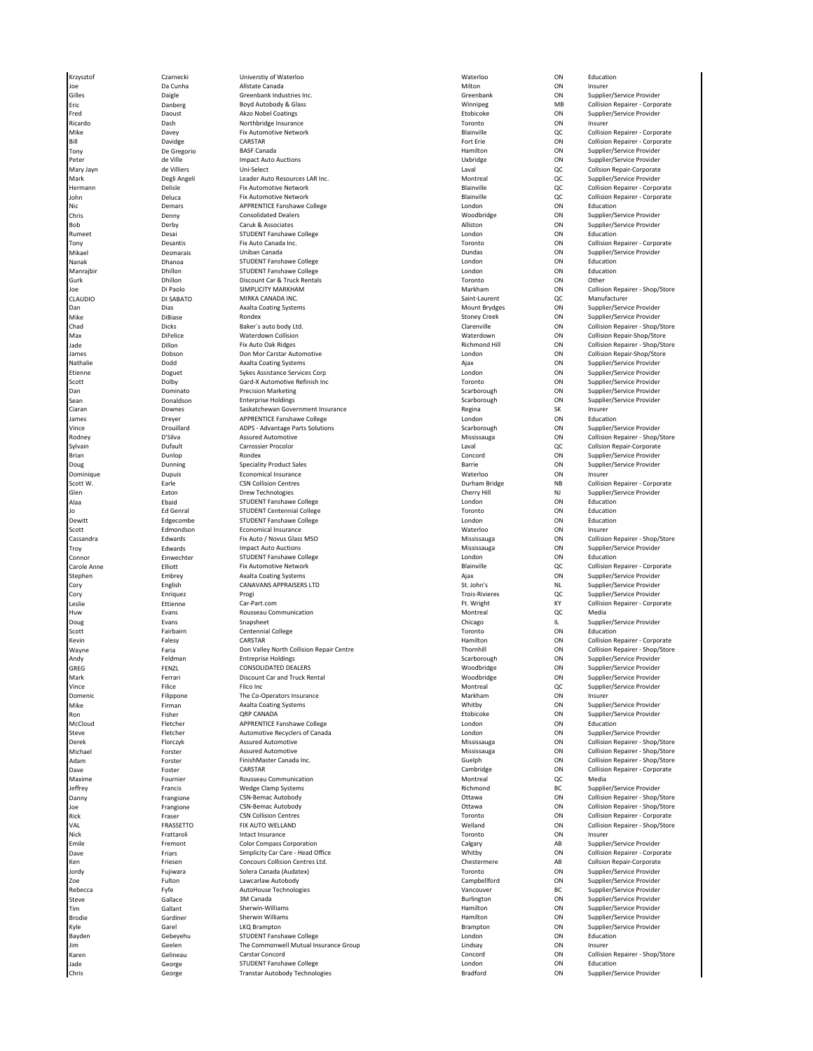Krzysztof Czarnecki Universtiy of Waterloo Waterloo ON Education Joe Da Cunha Allstate Canada Milton ON Insurer Gilles Daigle Greenbank Industries Inc. Greenbank ON Supplier/Service Provider Eric Danberg Boyd Autobody & Glass Winnipeg MB Collision Repairer - Corporate Fred Daoust Akzo Nobel Coatings Etobicoke ON Supplier/Service Provider Ricardo Dash Northbridge Insurance Toronto ON Insurer Mike Davey Fix Automotive Network Blainville QC Collision Repairer - Corporate Bill Davidge CARSTAR Fort Erie ON Collision Repairer - Corporate Tony De Gregorio BASF Canada Hamilton ON Supplier/Service Provider Peter de Ville Impact Auto Auctions Uxbridge ON Supplier/Service Provider Mary Jayn de Villiers Uni-Select Laval QC Collsion Repair-Corporate Mark Degli Angeli Leader Auto Resources LAR Inc. Montreal QC Supplier/Service Provider Hermann Delisle Fix Automotive Network Blainville QC Collision Repairer - Corporate John Deluca Fix Automotive Network Blainville QC Collision Repairer - Corporate Nic 1999 - Microsoft Demars APPRENTICE Fanshawe College London (London London 1999 - Don Education 1999 - Don<br>London On Supplier/Service Provider (Consolidated Dealers 1999) - Consolidated Dealers (Consolidated Dealers 1 Chris Denny Consolidated Dealers Woodbridge ON Supplier/Service Provider Bob Derby Caruk & Associates Alliston ON Supplier/Service Provider Rumeet **STUDENT Fanshawe College** College **London** London ON Education Bucation Tony Desantis Fix Auto Canada Inc. Toronto ON Collision Repairer - Corporate Mikael Desmarais Uniban Canada Dundas ON Supplier/Service Provider Nanak 1982 Dhanoa STUDENT Fanshawe College College Controlled Burger Manak London College Development of Colle Manrajbir Dhillon STUDENT Fanshawe College London ON Education Gurk Dhillon Discount Car & Truck Rentals Toronto ON Other Joe Di Paolo SIMPLICITY MARKHAM Markham ON Collision Repairer - Shop/Store CLAUDIO DI SABATO MIRKA CANADA INC. Saint-Laurent QC Manufacturer Dias **Axalta Coating Systems** Mount Brydges ON Supplier/Service Provider Mike DiBiase Rondex Stoney Creek ON Supplier/Service Provider Chad Dicks Baker`s auto body Ltd. Clarenville ON Collision Repairer - Shop/Store Materdown Collision (Materdown Materdown Materdown ON Collision Repair-Shop/Store<br>Materdown Collision Collision Repairer - Shop/Store Richmond Hill Collision Repairer - Shop/Store Collision Repairer - Shop/Store Jade Dillon Fix Auto Oak Ridges Richmond Hill ON Collision Repairer - Shop/Store James Dobson Don Mor Carstar Automotive London ON Collision Repair-Shop/Store Nathalie Dodd Axalta Coating Systems Ajax ON Supplier/Service Provider Etienne Doguet Sykes Assistance Services Corp London ON Supplier/Service Provider Scott 1986 (Supplier/Service Provider Gard-X Automotive Refinish Inc<br>Dolby Gard-X Automotive Refinish Inc 1986 (Supplier/Service Provider Provider<br>Dominato Precision Marketing (December 2007) Scarborough ON Supplier/Servic Dan Dominato Precision Marketing Scarborough Scarborough ON Supplier/Service Provider Sean **Donaldson Beatterprise Holdings** Communication Care Scarborough ON Supplier/Service Provider Ciaran Downes Saskatchewan Government Insurance Regina SK Insurer James Dreyer APPRENTICE Fanshawe College London ON Education Vince Drouillard ADPS - Advantage Parts Solutions Scarborough ON Supplier/Service Provider Sylvain Carrossier Procolor Carrossier Procolor Carrossier Procolor Laval Laval QC Collsion Repair-Corporate C .<br>Brian Manus Dunlop Brian Rondex Rondex Concord Concord ON Supplier/Service Provider<br>Dunning Speciality Product Sales Supplier/Service Provider Dunning Service Provider Doug Speciality Product Sales Barrie Barrie Barrie ON Supplier/Service Provider Dominique **Subset Community Community Community** Economical Insurance **Community Community Community Community** Community Community Community Community Community Community Community Community Community Community Community Scott W. **Earle** CSN Collision Centres **CON** CONCOLLISION COLLISION COLLISION REPAIRER COMPORATE COMPORATE Glen Eaton Drew Technologies Cherry Hill NJ Supplier/Service Provider Alaa Ebaid STUDENT Fanshawe College London ON Education Ed Genral STUDENT Centennial College<br>
Edgecombe STUDENT Fanshawe College<br>
Edmondson Economical Insurance Dewitt Edgecombe STUDENT Fanshawe College London ON Education Scott Edmondson Economical Insurance Waterloo ON Insurer Troy **Edwards Community Impact Auto Auctions** Community Community Austrians Mississauga ON Supplier/Service Provider on and the state of the STUDENT Fanshawe College (Connor and London and Connor and Education on Education on E<br>Connor Carole Anne (Collision River) Fix Automotive Network (Collision Radication and Blainville (Collision R<br>C Fix Automotive Network (Elliott Fix Automotive Network Blainville Annual Carolision Repairer - Corporate Annua<br>Axalta Coatine Systems (Avalta Blainville Alax Alax Alax Alax ON Supplier/Service Provider Stephen Embrey Axalta Coating Systems Ajax ON Supplier/Service Provider Cory English CANAVANS APPRAISERS LTD St. John's NL Supplier/Service Provider Cory Enriquez Progi Trois-Rivieres QC Supplier/Service Provider Leslie Ettienne [Car-Part.com](https://linkprotect.cudasvc.com/url?a=https%3a%2f%2fCar-Part.com&c=E,1,J0trKeyubwCBGWPNx7HPMLQm8EQjsuaDu-4BybiG1nmoH3ySkt14UhZ_nrHRNkHXCQaFMbHqjCB97OV_tTy7OXiRVV4dnC7RUccvoYHTxw8poePCY9Q,&typo=1) Ft. Wright KY Collision Repairer - Corporate Rousseau Communication<br>
Huw Evans Rousseau Communication Chicago Chicago Chicago Montreal II Sunniler/Service Provider Doug Chicago IL Supplier/Service Provider Snapsheet Snapsheet Supplier/Service Provider Supplier/Service Provider Scott **Fairbairn Centennial College Contennial College** Toronto Toronto ON Education Kevin Falesy CARSTAR Hamilton ON Collision Repairer - Corporate Wayne Faria Don Valley North Collision Repair Centre Thornhill ON Collision Repairer - Shop/Store Andy Feldman Entreprise Holdings Scarborough ON Supplier/Service Provider GREG FENZL CONSOLIDATED DEALERS (GREG FOR Supplier/Service Provider of the CONSOLIDATED DEALERS) CON Supplier/Service Provider Mark Ferrari Biscount Car and Truck Rental Number of Moodbridge ON Supplier/Service Provider ON Supplier/Service Provider<br>Montreal OC Supplier/Service Provider Provider (File of Provider Provider Provider Provider Provider Filice **Filico Inc.**<br>
The Co-Operators Insurance **According to the Control Montreal Control** CC Supplier/Service Provider<br>
Filippone The Co-Operators Insurance **According to the Control Markham** ON Insurer Domenic Filippone The Co-Operators Insurance Markham ON Insurer Mike Firman Maalta Coating Systems کار این این این است که است که است که است که است که است که است که است که است<br>Ron Supplier Supplier ORP CANADA Ron Fisher QRP CANADA Etobicoke ON Supplier/Service Provider Fletcher **Supplemant APPRENTICE Fanshawe College** College London London **College London** College London College London Christener College London Christener College Automotive Recyclers of Canada Christener London College C Steve Fletcher Automotive Recyclers of Canada London ON Supplier/Service Provider Derek Florczyk Assured Automotive Mississauga ON Collision Repairer - Shop/Store Assured Automotive **Michael Forster Automotive Michael Forster Automotive Michael Michael Michael Michael Michael Michael Michael Michael Michael Michael Michael Michael Michael Michael Michael Michael Michael Michael Mich** Adam Forster FinishMaster Canada Inc. Guelph ON Collision Repairer - Shop/Store Maxime Fournier Rousseau Communication Montreal QC Media Jeffrey Francis Wedge Clamp Systems Richmond BC Supplier/Service Provider Danny Frangione CSN-Bemac Autobody Ottawa ON Collision Repairer - Shop/Store Joe Prangione CSN-Bemac Autobody (Subsectional of Collision Repairer - Shop/Store<br>1990 - The Collision Control CSN Collision Centres<br>2001 - Transformation Collection Collision Centres (Subsection Automatic Subsection Autom Rick Fraser CSN Collision Centres Toronto ON Collision Repairer - Corporate VAL FRASSETTO FIX AUTO WELLAND Welland ON Collision Repairer - Shop/Store Nick **Frattaroli Intact Insurance Toronto** Toronto ON Insurer Emile Fremont Color Compass Corporation Compass Corporation Calgary Calgary AB Supplier/Service Provider Color Dave Simplicity Car Care - Head Office المستخدم المستخدم المستخدم المستخدم المستخدم المستخدم المستخدم المستخدم<br>1991 - Collision Repair-Corporate Concours Collision Centres Ltd.<br>- Chestermere Concours Collision Centres Ltd Ken Friesen Concours Collision Centres Ltd. Chestermere Collsion Centres Ltd. Chestermere AB Collsion Repair-Co<br>Cordy Fujiwara Solera Canada (Audatex) – Corporate Corporate Corporate Corporate Corporate Corporate Corporat Jordy Fujiwara Solera Canada (Audatex) Toronto ON Supplier/Service Provider Zoe Fulton Lawcarlaw Autobody Campbellford ON Supplier/Service Provider المست المستقلة المستقلة المستقلة المستقلة المستقلة المستقلة المستقلة المستقلة المستقلة والمستقلة المستقلة والمس<br>Rebecca Fyfe - AutoHouse Technologies - AutoHouse Technologies - Vancouver - BC - Supplier/Service Provider<br>S Steve Schlace Steve Gallace 3M Canada Steve Steve Gallace Steve Surlington CON Supplier/Service Provider Tim Gallant Sherwin-Williams Hamilton ON Supplier/Service Provider Brodie Gardiner Sherwin Williams Hamilton ON Supplier/Service Provider Kyle Garel LKQ Brampton Brampton ON Supplier/Service Provider -<br>Bayden Gebeyehu STUDENT Fanshawe College London London Collective Education of Education<br>Lim College Studies of the Commonwell Mutual Insurance Group Jim Geelen The Commonwell Mutual Insurance Group Lindsay ON Insurer Karen Gelineau Carstar Concord Concord ON Collision Repairer - Shop/Store Jade George STUDENT Fanshawe College London ON Education George Transtar Autobody Technologies

Collision Repairer - Shop/Store Collision Repairer - Shop/Store Cambridge 

ON Collision Repairer - Corporate<br>
OC Media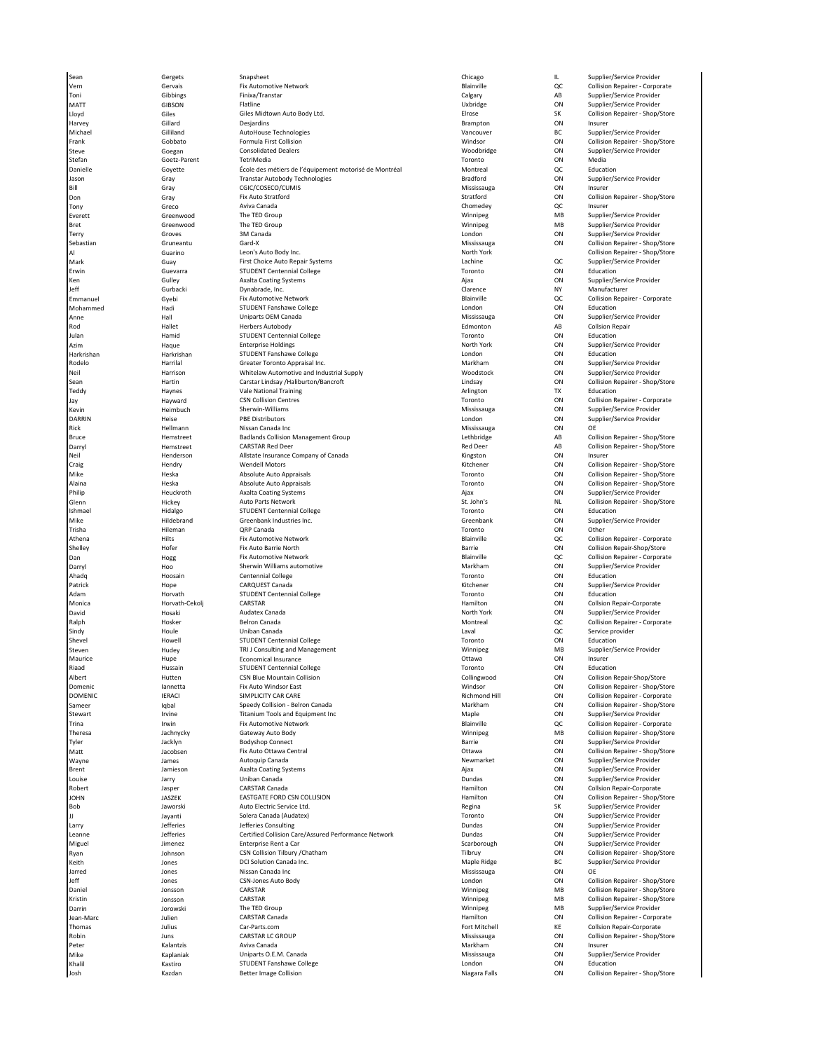Sean Gergets Snapsheet Chicago IL Supplier/Service Provider Vern Servais Fix Automotive Network (Gervanism Blainville – QC Collision Repairer - Corporate Corporate (Gerva<br>1991 - Gibbings Finixa/Transtar – Finixa (Transtar – Calgary – Calgaring AB Supplier/Service Provider Toni Gibbings Finixa/Transtar Calgary AB Supplier/Service Provider MATT GIBSON Flatline Uxbridge ON Supplier/Service Provider Giles Giles Giles Midtown Auto Body Ltd. Elrose Elrose SK Collision Repairer - Shop/Store Shop/Store Shop/Store<br>Gillard Sesjardins Designins Designins of Designins Brampton Stampton Stampton Shop Store Collision Repairer S Harvey Gillard Desjardins Brampton ON Insurer Michael Silliland AutoHouse Technologies (AutoHouse Technologies Supplier/Service Provider BC Supplier/Service Provider AutoHouse Technologies (AutoHouse Technologies AutoHouse Technologies AutoHouse Technologies AutoHouse Frank Gobbato Formula First Collision Computer of Collision Repairer - Shop/Store Collision Repairer - Shop/Store<br>Government Computer Consolidated Dealers Computer Store Collision Accordision Collision Repairer Supplier/Se Steve Goegan Consolidated Dealers Woodbridge ON Supplier/Service Provider Stefan Goetz-Parent TetriMedia termine dia termine di Stefan Toronto ON Media Danielle Goyette École des métiers de l'équipement motorisé de Montréal Montreal QC Education Jason Gray Transtar Autobody Technologies Bradford ON Supplier/Service Provider Bill Gray Gray CGIC/COSECO/CUMIS CONNECL STATE Mississauga ON Insurer Don Gray Fix Auto Stratford Stratford ON Collision Repairer - Shop/Store Tony Greco Aviva Canada Chomedey QC Insurer Everett Supplier/Service Provider The TED Group The TED Group Communication of the Control of MB Supplier/Service Provider Bret Greenwood The TED Group Winnipeg MB Supplier/Service Provider Terry Groves 3M Canada London ON Supplier/Service Provider Sebastian Gruneantu Gard-X Mississauga ON Collision Repairer - Shop/Store Al Guarino Leon's Auto Body Inc. North York Collision Repairer - Shop/Store First Choice Auto Repair Systems Erwin Guevarra STUDENT Centennial College Toronto ON Education Ken Gulley Axalta Coating Systems (Ajax Ajax ON Supplier/Service Provider)<br>Gurhacki Dvnabrade. Inc. (Ajax Clarence NY Manufacturer NY Manufacturer Jeff Gurbacki Dynabrade, Inc. Clarence NY Manufacturer Emmanuel Gyebi Fix Automotive Network Blainville QC Collision Repairer - Corporate STUDENT Fanshawe College<br>
Unioarts OEM Canada<br>
Unioarts OEM Canada London ON Activities Provider Provider Activities Activities Activities Activities Activi Anne **Mississauga Channe Hall Channe Uniparts OEM** Canada Channe Channe Mississauga ON Supplier/Service Provider Rod Nallet Herbers Autobody **Edmonton Berns Autobook AB Collsion Repair** Rod Edmonton AB Collsion Repair Julan Hamid STUDENT Centennial College Toronto ON Education Azim Naque Enterprise Holdings Azim Azim North York ON Supplier/Service Provider Azim Azim Azim Haque Azim Bag Harkrishan Harkrishan STUDENT Fanshawe College London ON Education Greater Toronto Appraisal Inc.<br>
Whitelaw Automotive and Industrial Supply<br>
Whitelaw Automotive and Industrial Supply **Witeld Accompany Supplier Accompany Supplier/Service Provider** Neil Harrison Whitelaw Automotive and Industrial Supply Woodstock ON Supplier/Service Provider Sean Hartin Carstar Lindsay /Haliburton/Bancroft Lindsay ON Collision Repairer - Shop/Store Teddy **Haynes** Haynes Vale National Training **Arlington Communist Parameter Communist Parameter** Communist Parameter Jay Hayward CSN Collision Centres Toronto ON Collision Repairer - Corporate DARRIN Heise PBE Distributors London ON Supplier/Service Provider Rick Nississauga – Hellmann – Nissan Canada Inc Mississauga – Mississauga – ON OE Bruce Hemstreet Badlands Collision Management Group Lethbridge AB Collision Repairer - Shop/Store Parryl Memstreet CARSTAR Red Deer Cannon of Canada Carryl Red Deer AB Collision Repairer - Shop/Store (Shop) Store<br>Neil Carryl Hemderson Allstate Insurance Company of Canada Canada Kingston Kingston Collision Resurer Colli -----,<br>Neil Henderson Allstate Insurance Company of Canada Kingston Kingston<br>Craig Hendry Wendell Motors Mike Heska Absolute Auto Appraisals Toronto ON Collision Repairer - Shop/Store Philip Heuckroth Axalta Coating Systems Axalta Coating Systems And Axamedeus Ajax ON Supplier/Service Provider Glenn Hickey Auto Parts Network St. John's NL Collision Repairer - Shop/Store ISUDENT Centennial College (STUDENT Centennial College Toronto Toronto ON Education College Toronto ON Education<br>The Supplier/Service Provider Toronto ON Supplier/Service Provider Mike Same Hildebrand Greenbank Industries Inc. Channel Communication of Greenbank Greenbank ON Supplier/Service Provider Trisha **Hileman QRP Canada** CRP Canada Communication of Chernal Communication on Other Athena Hilts Fix Automotive Network Blainville QC Collision Repairer - Corporate Shelley Hofer Fix Auto Barrie North Barrie ON Collision Repair-Shop/Store مات المسابق المسابق المسابق المسابق المسابق المسابق المسابق المسابق المسابق المسابق المسابق المسابق المسابق ال<br>Darryl Markham Hoo Sherwin Williams automotive the state of the Markham Markham ON Supplier/Service Provider Darryl **Markham Constants automotive Constants automotive** Markham Markham ON Supplier/Service Provider Ahadq Hoosain Centennial College Toronto ON Education «мач<br>Patrick Hope CARQUEST Canada CARQUEST Canada Canada Canada Canada Canada Canada Canada Canada Canada Canada Canada Canada Canada Canada Canada Canada Canada Canada Canada Canada Canada Canada Canada Canada Canada Can Adam Horvath STUDENT Centennial College Toronto ON Education Monica Horvath-Cekolj CARSTAR Hamilton ON Collsion Repair-Corporate David Hosaki Audatex Canada North York ON Supplier/Service Provider Ralph **Hosker Belron Canada** Belron Canada And Collision Repairer - Corporate Corporate Sindy Noule Houle Uniban Canada Laval Description of Laval Laval QC Service provider ت المستشرف المستشرف المستشرف المستشرف المستشرف المستشرف المستشرف المستشرف المستشرف المستشرف المستشرف المستشرف ا<br>Shevel Strugger Strugger Strugger Strugger Strugger Strugger Strugger Strugger Strugger (MB Supplier/Service Steven 1986 (Steven Hudey TRI J Consulting and Management Numer Steven Management Winnipeg MB Supplier<br>Maurice 1986 Hupe Feonomical Insurance Management Maurice Ottawa Ottawa ON Insurer Maurice Hupe Economical Insurance Ottawa ON Insurer STUDENT Centennial College **The College College Toronto** Toronto **College Toronto** ON Education<br>
Collinewood CSN Blue Mountain Collision **College Toronto Collinewood** ON Collision Repair-Shop/Store Albert Collingwood Hutten CSN Blue Mountain Collision Collision Collingwood Collingwood ON Collingwood ON Colli<br>Albert Collingwood Collision Repair-Shop Repair-Shop Providence Collingwood (Discussion Repair-Shop Repair-Sho Mannetta Fix Auto Windsor East Communic Control on Collision Repairer - Shop/Store<br>1991 - The Shop of Shop Collision Repairer - Shop/Store<br>2001 - Dome On Collision Repairer - Corporate Sameer Iqbal Speedy Collision - Belron Canada Markham ON Collision Repairer - Shop/Store Titanium Tools and Equipment Inc Maple **Maple Constitution Constitution**<br>Fix Automotive Network Trina 1992 - Irwin 1992 Fix Automotive Network Blainville Blainville Repairer - Corporate Corporate Corporate Theresa Jachnycky Gateway Auto Body Winnipeg MB Collision Repairer - Shop/Store Tyler Jacklyn Bodyshop Connect Barrie ON Supplier/Service Provider Fix Auto Ottawa Central **Fix Auto Ottawa Central Central Central Central On Collision Repairer - Shop/Store**<br>Autoquip Canada **Auto Central Ottawa On Supplier/Service Provider** Wayne James Autoquip Canada Newmarket ON Supplier/Service Provider Brent Jamieson Axalta Coating Systems Ajax ON Supplier/Service Provider Louise Jarry Uniban Canada Dundas ON Supplier/Service Provider Robert Jasper CARSTAR Canada Hamilton ON Collsion Repair-Corporate EASTGATE FORD CSN COLLISION<br>Auto Electric Service Ltd. Bob Jaworski Auto Electric Service Ltd. Regina SK Supplier/Service Provider JJ Jayanti Solera Canada (Audatex) Toronto ON Supplier/Service Provider Larry Jefferies Jefferies Consulting Dundas ON Supplier/Service Provider Leanne Jefferies Certified Collision Care/Assured Performance Network Dundas ON Supplier/Service Provider Miguel **Scarborough Community Community** Jimenez **Caraborough Community Community Community** Community Carborough ON Supplier/Service Provider Ryan Johnson CSN Collision Tilbury /Chatham Tilbruy ON Collision Repairer - Shop/Store .<br>At the Maple Ridge BC Supplier Research DCI Solution Canada Inc.<br>Are Mississauga Missan Canada Inc Jarred Jones Nissan Canada Inc Mississauga ON OE Jeff Jones CSN-Jones Auto Body London ON Collision Repairer - Shop/Store Daniel Jonsson CARSTAR Winnipeg MB Collision Repairer - Shop/Store CARSTAR CONSTAR CONSTRUCT CONSTRUCT CONSTRUCT CONSTRUCT CONSTRUCT CONSTRUCT CONSTRUCT CONSTRUCT CONSTRUCT CONS<br>The TED Group Construct Construct Construct Construct Construct Construct Construct Construct Construct Const Darrin Jorowski The TED Group Winnipeg MB Supplier/Service Provider Jean-Marc Julien CARSTAR Canada Hamilton ON Collision Repairer - Corporate Thomas Julius Car-Parts.com Fort Mitchell KE Collsion Repair-Corporate Robin Juns CARSTAR LC GROUP Mississauga ON Collision Repairer - Shop/Store Peter **Salantzis Chanada** Aviva Canada **Avita Canada Chanada Chanada Chanada Chanada** Markham ON Insurer Mike Saplaniak Mike Uniparts O.E.M. Canada Mississauga Communication on Supplier/Service Provider on Supplier/Service Provider Khalil Kastiro STUDENT Fanshawe College London ON Education

Supplier/Service Provider ON Collision Repairer - Shop/Store **Collision Repairer - Shop/Store** Richmond Hill **Simplicity CON** Collision Repairer - Corporate<br>
Markham **COLLISION** Collision Repairer - Shop/Store ON Collision Repairer - Shop/Store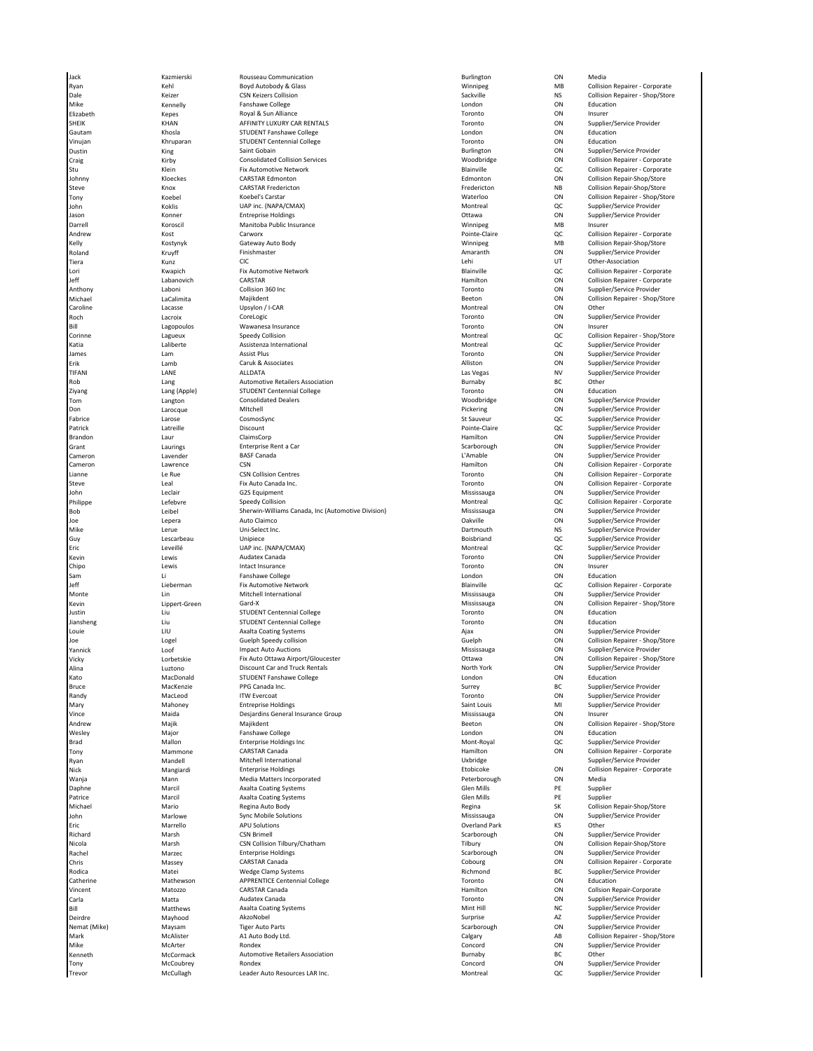Ryan MB Collision Repairer - Corporate Boyd Autobody & Glass Sales Microsoft Munipeg MB Collision Repairer - Corporate Dale Keizer CSN Keizers Collision Sackville NS Collision Repairer - Shop/Store Mike Kennelly Fanshawe College London ON Education Elizabeth Kepes Royal & Sun Alliance Toronto ON Insurer SHEIK KHAN AFFINITY LUXURY CAR RENTALS Toronto ON Supplier/Service Provider Gautam Khosla Students<br>
Khosna Fanshawe College Vinujan Khruparan STUDENT Centennial College Toronto ON Education Dustin King Saint Gobain Burlington ON Supplier/Service Provider Stu Nein Klein Fix Automotive Network and the Studie Blainville (Callision Repairer - Corporate Corporate Automotive Network Studies and Blainville (Callision Repairer - Corporate Corporate Corporate Automotive Network of المستقال المستقلة المستقلة المستقلة المستقلة المستقلة المستقلة المستقلة المستقلة المستقلة المستقلة المستقلة وال<br>1997- 1997 - CARSTAR Fredericton CARSTAR Fredericton و CARSTAR Fredericton و Fredericton و Fredericton و CARS Steve Knox CARSTAR Fredericton Fredericton NB Collision Repair-Shop/Store Tony Moebel Moebel's Carstar (Geodel's Carstar Moebel's Carstar Moebel's Carstar Moebel's Carstar Moebel's Carstar<br>Tony Montreal OC Supplier/Service Provider<br>Montreal OC Supplier/Service Provider John Koklis UAP inc. (NAPA/CMAX) Montreal QC Supplier/Service Provider Jason Konner Entreprise Holdings Ottawa ON Supplier/Service Provider Manitoba Public Insurance<br>Darrell Manitoba Public Insurance Numeron Numeron Communication of MB Insurer Manitoba Public Insurer<br>Manitoba Public Insurance Numeron Pointe-Claire QC Collision Repairer - Corporate Andrew Kost Carworx Pointe-Claire QC Collision Repairer - Corporate Kelly Kostynyk Gateway Auto Body Winnipeg MB Collision Repair-Shop/Store Roland Kruyff Finishmaster Amaranth ON Supplier/Service Provider Tiera Kunz CIC Lehi UT Other-Association Lori Kwapich Fix Automotive Network Blainville QC Collision Repairer - Corporate العالم (Labanovich CARSTAR CON) CARSTAR (Leff Media of Hamilton Collision Repairer - Corporate<br>Anthony Collision Collision 360 Inc Collision South Collision South Collision Repairer Provider Corporate Corp Anthony **Example 2** Laboni Collision 360 Inc The Supplier of Toronto Toronto ON Supplier/Service Provider Michael LaCalimita Majikdent Beeton ON Collision Repairer - Shop/Store Caroline Lacasse Upsylon / I-CAR Montreal ON Other Roch CoreLogic CoreLogic Toronto Toronto ON Supplier/Service Provider CoreLogic CoreLogic CoreLogic CoreLogic Bill **Example 20 Insurance** Controller Management Controller Controller Controller Controller Controller Controller Controller Controller Controller Controller Controller Controller Controller Controller Controller Control Corinne Lagueux Speedy Collision Montreal QC Collision Repairer - Shop/Store Katia 2001 - Laliberte Assistenza International Assistenza International Assistenza International Assistenza International Assistenza International Montreal Montreal QC Supplier/Service Provider James Lam Assist Plus Toronto ON Supplier/Service Provider Erik Lamb Caruk & Associates Alliston ON Supplier/Service Provider TIFANI LANE ALLDATA Las Vegas NV Supplier/Service Provider Rob Lang Lang Automotive Retailers Association<br>- BC Other Burnaby BC Other<br>- Ziyang Lang (Apple) STUDENT Centennial College National Scription on Education STUDENT Centennial College and College and College Toronto Consolidated Dealers Consolidated Dealers Consolidated Dealers Consolidated Dealers Consolidated Dealers Consolidated Dealers Consolidated Dealers Consolidated Dea Tom Langton Consolidated Dealers Woodbridge ON Supplier/Service Provider Don Larocque MItchell Pickering ON Supplier/Service Provider Fabrice Larose CosmosSync St Sauveur QC Supplier/Service Provider - Patrick Matter Latreille Matter Discount Discount (Patrick Provider Pointe-Claire Claire CC Supplier/Service Provider<br>Patrick Latreille Discount (Patrick Provider Provider Provider Provider Provider Provider Provider Pro ClaimsCorp ClaimsCorp ClaimsCorp ClaimsCorp ClaimsCorp ClaimsCorp ClaimsCorp ClaimsCorp ClaimsCorp ClaimsCorp ClaimsCorp ClaimsCorp ClaimsCorp ClaimsCorp ClaimsCorp ClaimsCorp ClaimsCorp ClaimsCorp ClaimsCorp ClaimsCorp Cl Grant Chaurings Chaurings Enterprise Rent a Car Scarborough Carborough ON Supplier/Service Provider Cameron Lavender BASF Canada L'Amable ON Supplier/Service Provider Cameron 1992 (Cameron Lawrence CSN CSN Cameron CSN Cameron Cameron Collision Repairer - Corporate<br>Compairer Corporate CSN Collision Centres Corporate Corporate Toronto Toronto ON Collision Repairer - Corporate Lianne Le Rue CSN Collision Centres Toronto ON Collision Repairer - Corporate John Leclair G2S Equipment Mississauga ON Supplier/Service Provider Philippe Lefebvre Speedy Collision Montreal QC Collision Repairer - Corporate Bob Leibel Sherwin-Williams Canada, Inc (Automotive Division)<br>1960 Lepera Muto Calimco<br>Mike Lerue Lerue Din-Select Inc. Joe Lepera Auto Claimco Oakville ON Supplier/Service Provider Mike Lerue Uni-Select Inc. Dartmouth NS Supplier/Service Provider Eric Leveillé UAP inc. (NAPA/CMAX) Montreal QC Supplier/Service Provider Kevin Lewis Audatex Canada Toronto ON Supplier/Service Provider Chipo **Lewis Chipo Lewis** Intact Insurance **Chipo Chipo Chipo Chipo Chipo Chipo Chipo Chipo Chipo Chipo Chipo Chipo Chipo Chipo Chipo Chipo Chipo Chipo Chipo Chipo Chipo Chipo Chipo Chipo Chipo Chipo Chipo Chipo Chipo Ch** Sam and the Sam London College College College College College College London College London College College College Jeff Lieberman Fix Automotive Network Blainville QC Collision Repairer - Corporate Monte **Mitchell International** Mitchell International Chronic Communisty Mississauga ON Supplier/Service Provider Kevin Lippert-Green Gard-X Mississauga ON Collision Repairer - Shop/Store Justice Centennial College Jiansheng Liu STUDENT Centennial College Toronto ON Education Louie LIU Axalta Coating Systems Ajax ON Supplier/Service Provider Yannick Loof Impact Auto Auctions Mississauga ON Supplier/Service Provider Vicky Lorbetskie Fix Auto Ottawa Airport/Gloucester Ottawa ON Collision Repairer - Shop/Store Luztono **Discount Car and Truck Rentals NacDonald** STUDENT Fanshawe College Kato MacDonald STUDENT Fanshawe College London ON Education Bruce MacKenzie PPG Canada Inc. Surrey BC Supplier/Service Provider ITW Evercoat **Supplier/Service Provider** Controller MacLeod ITW Evercoat Controller ON Supplier/Service Provider<br>
Saint Louis **Controller Controller Service Provider** Supplier/Service Provider Mahoney Bitteprise Holdings Saint Louis Saint Louis MI Supplier/Service Provider Saint Louis MI Supplier/Service Provider vince Maida Desjardins General Insurance Group<br>Mississauga Desjardins General Insurance Group<br>Narik Mailk Mailklent Mailklent Mailklent Magnus Reeton ON Collision Renairer - Shon/Store Andrew Majik Majikdent Beeton ON Collision Repairer - Shop/Store Wesley Major Fanshawe College London ON Education Brad Mallon وMallon Enterprise Holdings Inc<br>Brad Mallon Enterprise Holdings Inc Mont-Royal Hamilton وMont-Royal Control Collision Repairer - Corporate<br>Tony Mammone CARSTAR Canada Tony Mammone CARSTAR Canada And Controlled Mamilton Collision Repairer - Corporate Ryan Mandell Mitchell International Uxbridge Supplier/Service Provider Wanja Mann Media Matters Incorporated Peterborough ON Media Daphne Marcil Axalta Coating Systems Glen Mills PE Supplier Axalta Coating Systems<br>Regina Auto Body Michael Mario Regina Auto Body Regina SK Collision Repair-Shop/Store John Marlowe Sync Mobile Solutions (Specific and Mississauga ON Supplier/Service Provider<br>John Marrello APU Solutions (Specific and Park Overland Park KS Other Marrello Eric Marrello APU Solutions Overland Park KS Other Richard Marsh CSN Brimell Scarborough ON Supplier/Service Provider CSN Collision Tilbury/Chatham CSN Collision Repair-Shop/Store<br>
Scarborough Collision Collision Repair-Shop/Store<br>
Scarborough Cathorough ON Supplier/Service Provider Rachel **Enterprise Holdings Scarborough Scarborough** ON Supplier/Service Provider Scarborough ON Supplier/Service Provider Chris Massey CARSTAR Canada Chris Cobourg Cobourg Cobourg ON Collision Repairer - Corporate Corporate Corporate<br>Rodica Corporate Matei Wedge Clamp Systems Christian Christian Richmond Richmond BC Supplier/Service Provider Rodica Matei Wedge Clamp Systems Richmond BC Supplier/Service Provider Catherine Mathewson APPRENTICE Centennial College **Toronto** Toronto ON Education<br>Catherine Mathewson CARSTAR Canada College **Toronto Hamilton** ON Collsion Repair-Corporate Vincent **Matozzo CARSTAR Canada** Canada Hamilton Collsion Repair-Corporate Collsion Repair-Corporate CARSTAR Canada Carla Matta Audatex Canada Toronto ON Supplier/Service Provider Bill Matthews Axalta Coating Systems<br>1991 - Mathews AkzoNobel (According Systems and Delity of Surprise Mint Hill NC Supplier/Service Provider<br>1991 - Deirdre Supplier/Service Provider (According According Surprise Surpris Deirdre Mayhood AkzoNobel Surprise AZ Supplier/Service Provider Tiger Auto Parts و Tiger Auto Parts Scarborough و Scarborough ON Supplier/Service Provider<br>A1 Auto Body Ltd. و AB Collision Repairer - Shop/ Mark McAlister A1 Auto Body Ltd. Calgary AB Collision Repairer - Shop/Store Manusch McCormack Automotive Retailers Association<br>McCormack Automotive Retailers Association Burnaby Burnaby Burnaby BC<br>Tony Concord Tony McCoubrey Rondex Concord ON Supplier/Service Provider

Jack Kazmierski Rousseau Communication Burlington ON Media Woodbridge **CRAIG CON** Collision Repairer - Corporate<br>Blainville COLLISION Repairer - Corporate Collision Repairer - Corporate Supplier/Service Provider Collision Repairer - Shop/Store<br>Supplier/Service Provider Etobicoke Mangiardi Enterprise Collision Repairer - Corporate<br>Peterborough ON Media Supplier/Service Provider<br>Other Supplier/Service Provider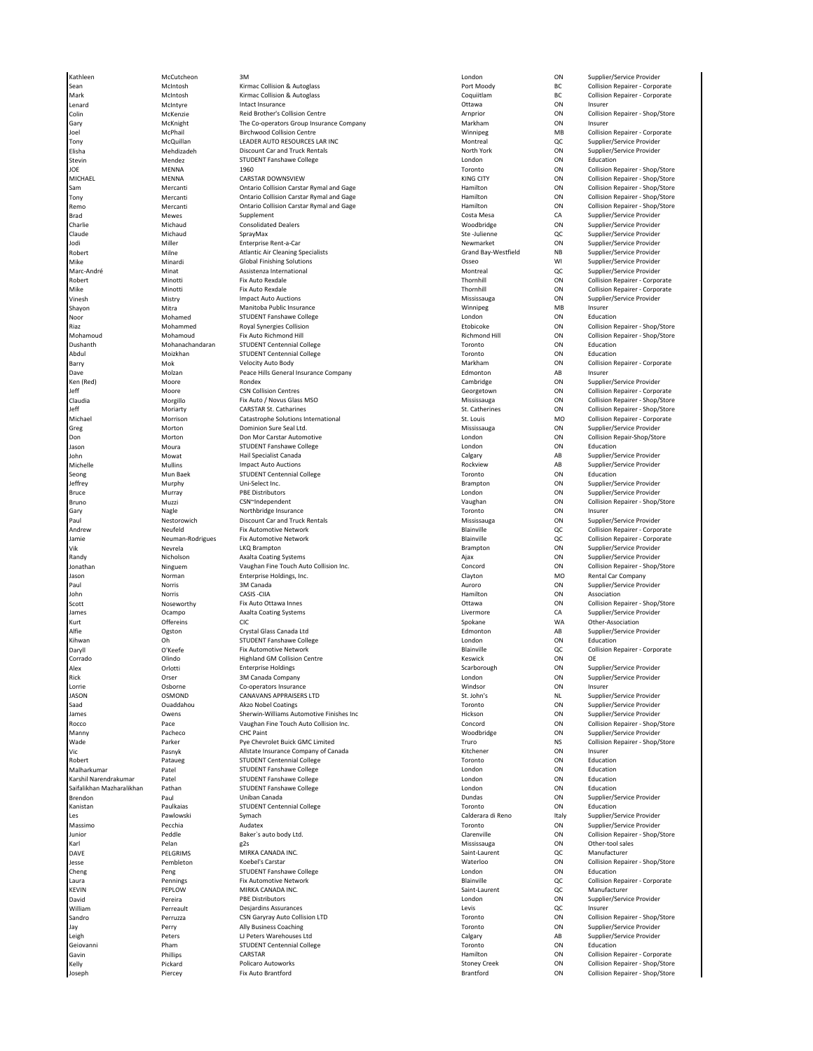Malharkumar Patel STUDENT Fanshawe College London ON Education

Sean McIntosh Kirmac Collision & Autoglass Corporate Repairer - Corporate Port Moody BC Collision Repairer - Corporate Mark McIntosh Kirmac Collision & Autoglass Coquiitlam BC Collision Repairer - Corporate Lenard **McIntyre Intact Insurance** Channel Contains and Ottawa ON Insurer Colin 1992 McKenzie Reid Brother's Collision Centre Arnprior Arnprior 1993 Collision Repairer - Shop/Store Arn<br>1997 McKnight The Co-operators Group Insurance Company 1998 Markham 1998 ON Insurer Sary 1988 McKnight The Co-operators Group Insurance Company 1988 Markham 1988 ON Insurer<br>Group McChail Markham Onlision Centre Corporate Minnipeg Markham 1988 Collision Repairer - Corporate Joel McPhail Birchwood Collision Centre Corporate Winnipeg MB Collision Repairer - Corporate Tony McQuillan LEADER AUTO RESOURCES LAR INC Montreal QC Supplier/Service Provider en Mehdizadeh Discount Car and Truck Rentals (North York North York ON Supplier/Service Provider of Supplier/S<br>2011 - Mehdizadeh STUDENT Fanshawe College (North Provider Provider Provider Provider Provider)<br>19 - Stevin Pro STUDENT Fanshawe College JOE MENNA 1960 Toronto ON Collision Repairer - Shop/Store MICHAEL MENNA CARSTAR DOWNSVIEW KING CITY ON Collision Repairer - Shop/Store Ontario Collision Carstar Rymal and Gage **Collision Collision Repairer - Shop/Store** Collision Repairer - Shop/Store<br>
Hamilton Ontario Collision Repairer - Shop/Store **Collision Repairer - Shop/Store** Collision Repairer oning the mercanti of the Collision Carstar Rymal and Gage and the Hamilton Collision Repairer - Shop/Store Collision Repairer - Shop/Store<br>Tony Mercanti Ontario Collision Carstar Rymal and Gage Hamilton Collision Repairer Remo Serventi Serventi Collision Carstar Rymal and Gage Collision Collision Repairer - Shop/<br>Remo Supplier/Service Provider Supplement Supplier Serventian Costa Mesa Costa Mesa CA Supplier/Service Provider Brad Mewes Supplement Supplement Costa Mesa Costa Mesa CA Supplier/Service Provider Charlie Michaud Consolidated Dealers (Charlie Moodbridge ON Supplier/Service Provider<br>Charlie Michaud SprayMax Santa SprayMax (Charlie Supplier/Service Provider Claude Michaud SprayMax Ste -Julienne QC Supplier/Service Provider Jodi Miller Enterprise Rent-a-Car Newmarket ON Supplier/Service Provider Contribution of the Milne Atlantic Air Cleaning Specialists (Grand Bay-Westfield MB Supplier/Service Provider<br>Milne Milne Atlantic Air Cleaning Specialists<br>Mike Milnardi Global Finishine Solutions (Grand Bay-Westfield Wil Michard Minardi Minardi Global Finishing Solutions Communications of the Supplier/Service Provider of the Supplier/Service Provider Marc-André Minat Assistenza International Montreal QC Supplier/Service Provider Robert Minotti Fix Auto Rexdale Thornhill ON Collision Repairer - Corporate Mike Minotti Fix Auto Rexdale Thornhill ON Collision Repairer - Corporate Vinesh Mistry Impact Auto Auctions Mississauga ON Supplier/Service Provider Manitoba Public Insurance Noor Mohamed STUDENT Fanshawe College London ON Education سرت المسلس للمسلس للمسلس للمسلس المسلس المسلس المسلس المسلس المسلس المسلس المسلس المسلس المسلس المسلس المسلس ا<br>Mohamoud Mohamoud Fix Auto Richmond Hill<br>Mohamoud Fix Auto Richmond Hill Dushanth Mohanachandaran STUDENT Centennial College Toronto ON Education Abdul Moizkhan STUDENT Centennial College Toronto ON Education Barry Champ Mok Mok Velocity Auto Body Communication of Markham Markham ON Collision Repairer - Corporate )<br>Dave Molzan Peace Hills General Insurance Company and Edmonton Edmonton AB Insurer<br>Cen (Red) Cambridge Complies Ken (Red) Moore Rondex Cambridge ON Supplier/Service Provider Jeff Moore CSN Collision Centres Georgetown ON Collision Repairer - Corporate Claudia Morgillo Fix Auto / Novus Glass MSO Mississauga ON Collision Repairer - Shop/Store Michael 1992 Morrison 1992 Catastrophe Solutions International St. Louis St. Louis MO Collision Repairer - Corporate<br>1992 Step Morton 1992 Dominion Sure Seal Ltd. Northern Mississauga Mississauga Don Supplier/Service Provi Greg Sure Morton Morton Dominion Sure Seal Ltd. Mississauga Mississauga CON Supplier/Service Provider Don Morton Don Mor Carstar Automotive London ON Collision Repair-Shop/Store Jason Moura STUDENT Fanshawe College London ON Education John Mowat Hail Specialist Canada Calgary AB Supplier/Service Provider Seong Mun Baek STUDENT Centennial College Toronto ON Education Bruce **Murray Republish Contains Accord PDE Distributors** Contains a london Contains Contains ON Supplier/Service Provider Bruno Muzzi CSN~Independent Vaughan ON Collision Repairer - Shop/Store ary 1982 - Northbridge Insurance<br>Gary 1983 - Toronto Discount Car and Truck Rentals<br>The Mississauga - ON Supplier/Service Provider Paul Nestorowich Discount Car and Truck Rentals Mississauga ON Supplier/Service Provider Andrew Neufeld Fix Automotive Network Blainville QC Collision Repairer - Corporate Vik **Nevrela** CHCL READ READ CON BRAMPTON DESCRIPTION BRAMPTON BRAMPTON ON Supplier/Service Provider Randy Nicholson Axalta Coating Systems Ajax ON Supplier/Service Provider Jonathan Ninguem Vaughan Fine Touch Auto Collision Inc. Concord ON Collision Repairer - Shop/Store Jason **1986 Markon Company Company Company** Enterprise Holdings, Inc. Clayton **Clayton MO Rental Car Company** Clayton MO Rental Car Company Paul 1986 - Morris 3M Canada 1986 - 2008 - 2008 - 2014 - 2016 - 2017 - 2018 - 2019 - 2019 - 2019 - 2019 - 2019<br>Paul 1987 - 2019 - 2019 - 2019 - 2019 - 2019 - 2019 - 2019 - 2019 - 2019 - 2019 - 2019 - 2019 - 2019 - 2019 -<br>P John Norris CASIS -CIIA Hamilton ON Association Scott Noseworthy Fix Auto Ottawa Innes Ottawa ON Collision Repairer - Shop/Store Kurt Offereins CIC Spokane WA Other-Association Alfie Ogston Crystal Glass Canada Ltd Edmonton AB Supplier/Service Provider السابق المستقادة المستقادة المستقدمة المستقدمة المستقدمة المستقدمة المستقدمة المستقدمة المستقدمة المستقدمة الم<br>20 OK Collision Repairer - Corporate<br>20 OK Collision Repairer - Corporate Daryll C'Keefe Fix Automotive Network Blainville Blainville QC Collision Repairer - Corporate Corrado Olindo Highland GM Collision Centre Keswick ON OE Enterprise Holdings<br>19 Supplier/Service Provider November 2012 Scarborough Consumer Supplier/Service Provider<br>19 Supplier/Service Provider Supplier/Service Provider November 2014 Rick Company Company and SM Canada Company Company Company London Company Company DON Supplier/Service Provider Lorrie Osborne Co-operators Insurance Windsor ON Insurer OSMOND CANAVANS APPRAISERS LTD STREET SERVICE SERVICE SERVICE SERVICE SUPPLIER STREET SERVICE Provider SUPPLIER<br>19 Supplier/Service Provider Akzo Nobel Coatines Service Street Service Provider Supplier/Service Provider Saad Cuaddahou Akzo Nobel Coatings Toronto Toronto ON Supplier/Service Provider James Owens Sherwin-Williams Automotive Finishes Inc Hickson ON Supplier/Service Provider Rocco Pace Vaughan Fine Touch Auto Collision Inc. Concord ON Collision Repairer - Shop/Store Manny Pacheco CHC Paint Woodbridge ON Supplier/Service Provider Parker Pye Chevrolet Buick GMC Limited<br>
Pasnyk MIstate Insurance Company of Car<br>
Pataueg STUDENT Centennial College Vic Pasnyk Pasnyk Allstate Insurance Company of Canada Company of Canada Kitchener Company of Canada Kitchener<br>Robert Pataueg STUDENT Centennial College Company of Canada Toronto Toronto ON Education ...<br>Robert Mataueg – STUDENT Centennial College – Studies – Toronto – ON Education<br>Malharkumar – Patel – STUDENT Fanshawe College – Studies – London – ON Education Karshil Narendrakumar Patel STUDENT Fanshawe College London ON Education saifalikhan Mazharalikhan Pathan STUDENT Fanshawe College London Donal College London ON ON ON ON College London<br>Brendon Paul Paul Uniban Canada Dundas Dundas ON ON Education Paul Paul **Brendon Canada** Uniban Canada Dundas Dundas **Canada Dundas** Connect Supplier/Service Provider<br>Dundas Paul Uniban Canada Dundas Online Dundas Dundas Dundas ON Education Dundas Paul Canada Dundas Dundas Dun<br>Paul Dundas Kanistan Paulkaias STUDENT Centennial College Toronto ON Education Massimo **Pecchia** Pecchia Audatex Audatex Audatex **Audatex Audatex Audatex** Toronto ON Supplier/Service Provider Junior Peddle Baker`s auto body Ltd. Clarenville ON Collision Repairer - Shop/Store Karl Pelan g2s Mississauga ON Other-tool sales DAVE PELGRIMS MIRKA CANADA INC. Saint-Laurent QC Manufacturer Jesse 1992 - Jesse Pembleton Moebel's Carstar College 1992 - Materloo Numberloo ON Collision Repairer - Shop/Store<br>1992 - Cheng Deng Deng Dengthe STUDENT Fanshawe College 1992 - Shop Moedon Dendon ON Education Peng Cheng Peng STUDENT Fanshawe College London ON Education Laura **Example Pennings Community Constructs** Fix Automotive Network **Blainville** Blainville **Blainville** QC Collision Repairer - Corporate KEVIN PEPLOW MIRKA CANADA INC. Saint-Laurent QC Manufacturer David Pereira PBE Distributors London ON Supplier/Service Provider William 1995 - Perreault Desjardins Assurances<br>1997 - Designed and Desjardins Assurances Levis Designed and Devis Devise Designed Designed Designed Designed<br>1997 - Sandro Desjardins Designed Designed Designed Designed Desi Sandro Perruzza CSN Garyray Auto Collision LTD Toronto Collision CON Collision LTD Toronto CON Collision Repair<br>Perry Toronto Ally Business Coaching Collision Repairer - Shop - Shop - Shop - Shop - Shop - Shop - Shop - Sho Leigh Peters LJ Peters Warehouses Ltd Calgary AB Supplier/Service Provider Christian Centennial College Christian Centennial College Christian Centennial College Toronto Christian Compu<br>CARSTAR Centennial College Christian Computer Computer Computer Computer Computer Computer Computer Computer<br>CA Gavin **CARSTAR CARSTAR** COMERGIAN CONSIDENT CON COLLISION POINT CONTACT COMERGIAN CONTRIGUIST COMERGIAN CONTRIGUIST COMERGIAN CONTRIGUIST COMERGIAN CONTRIGUIST COMPORATE COMPORATE COMPORATE COMPORATE COMPORATE COMPORATE CO Kelly Pickard Policaro Autoworks Stoney Creek ON Collision Repairer - Shop/Store

Stephen McCutcheon Management and SM Stephen/Service Provider and SM London Control ON Supplier/Service Provider<br>And Management of Stephen Corporate Stephen Computers (Controlled Management of Stephen Management Corporate Collision Repairer - Shop/Store Collision Repairer - Shop/Store Supplier/Service Provider Supplier/Service Provider Collision Repairer - Corporate Supplier/Service Provider Supplier/Service Provider Supplier/Service Provider<br>Supplier/Service Provider ON Collision Repairer - Shop/Store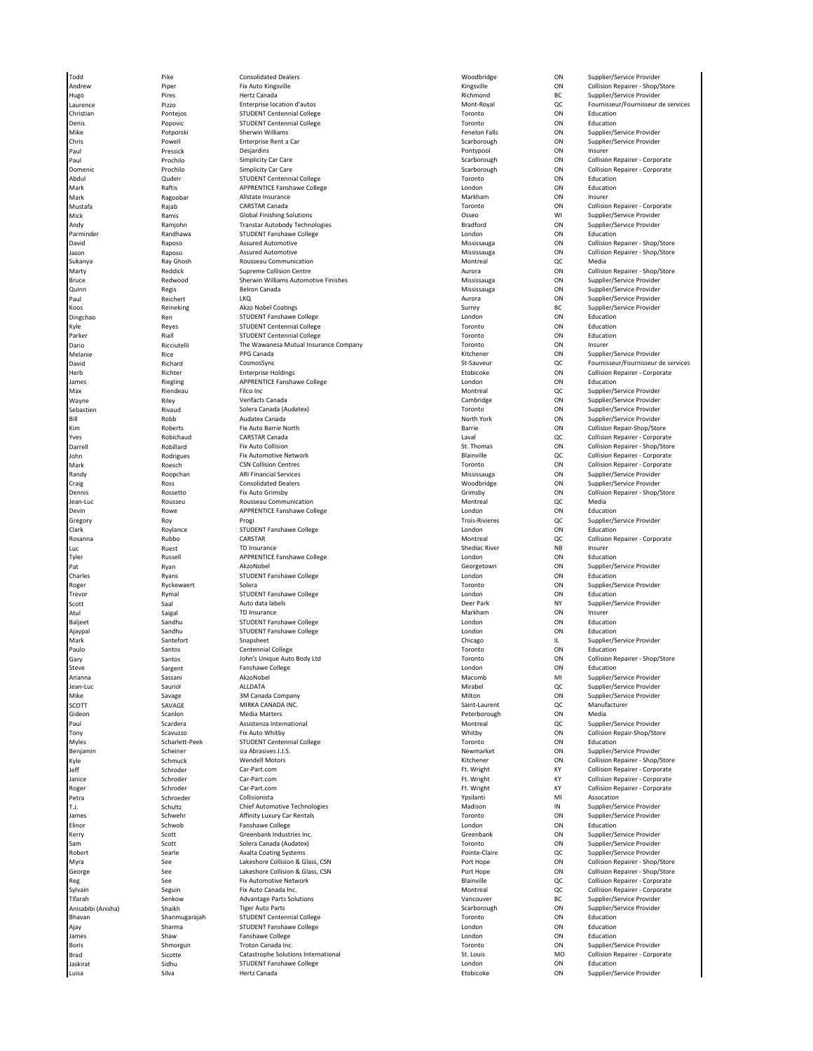Todd Pike Consolidated Dealers Woodbridge ON Supplier/Service Provider Noting the the state of the component of the state of the state of the state of the state of the state of the state provider in the state of the state of the state of the state provider in the state of the state of the sta Christian Pontejos STUDENT Centennial College Toronto ON Education مست بالمستحدة المستحدة المستحدة المستحدة المستحدة المستحدة المستحدة المستحدة المستحدة المستحدة المستحدة المستح<br>2010 - Denis Popovic STUDENT Centennial College Toronto Toronto Toronto ON Education<br>2011 - Mike Potporski She Mike Potporski Sherwin Williams Fenelon Falls ON Supplier/Service Provider Chris Powell Enterprise Rent a Car Scarborough ON Supplier/Service Provider Paul Pressick Desjardins Pontypool ON Insurer Abdul Qudeir STUDENT Centennial College Toronto ON Education Mark **Mark Raftis College APPRENTICE Fanshawe College** College London **London** ON Education Mark **Markham Communistate Insurance** Allstate Insurance **Markham Markham ON Insurer** CON Insurer Mustafa Rajab CARSTAR Canada Toronto ON Collision Repairer - Corporate Global Finishing Solutions and the Chinese Cosseo School Chinese Cosseo MIC Supplier/Service Provider<br>
Supplier/Service Provider<br>
Transtar Autobody Technologies and the Chinese Cosseo Bradford Cosseo Cosseo Supplier/Servic Andy Ramjohn Transtar Autobody Technologies Bradford ON Supplier/Service Provider STUDENT Fanshawe College Sukanya Ray Ghosh Rousseau Communication Montreal QC Media Bruce Redwood Sherwin Williams Automotive Finishes Mississauga ON Supplier/Service Provider Quinn Regis Belron Canada Mississauga ON Supplier/Service Provider مسموسية المستقادة المستقدمية المستقدمية المستقدمية المستقدمية المستقدمية المستقدمية المستقدمية والمستقدمية المس<br>1994 - المستقدم المستقدمية المستقدمية المستقدمية المستقدمية المستقدمية المستقدمية المستقدمية المستقدمية المست Dingchao Ren STUDENT Fanshawe College London ON Education Kyle Reyes STUDENT Centennial College Toronto ON Education Parker Riall STUDENT Centennial College Toronto College The Wawanesa Mutual Insurance Toronto ON Education College T<br>The Wawanesa Mutual Insurance The Wawanesa Mutual Insurance Dario Ricciutelli The Wawanesa Mutual Insurance Company Toronto ON Insurer James Riegling APPRENTICE Fanshawe College London ON Education Max **Montreal Community Community Community** Provider Community Provider Advantagement Community Provider Advantagement Community Provider Advantagement Community Provider Advantagement Community Provider Advantagement Com Wayne **Example 20 No. 2018 Wayne Cambridge** Cambridge Cambridge ON Supplier/Service Provider Sebastien Rivaud Solera Canada (Audatex) Toronto ON Supplier/Service Provider Bill Robb Audatex Canada North York ON Supplier/Service Provider Kim Roberts Fix Auto Barrie North Barrie ON Collision Repair-Shop/Store John Rodrigues Fix Automotive Network Blainville QC Collision Repairer - Corporate Randy Supplier/Service Provider ARI Financial Services Mississauga Mississauga ON Supplier/Service Provider (ARI Financial Services Mississauga Development ARI Financial Services Mississauga Development ARI Financial Servi Jean-Luc Rousseu Rousseau Communication Montreal QC Media APPRENTICE Fanshawe College Gregory Roy Progi Trois-Rivieres QC Supplier/Service Provider Clark Roylance STUDENT Fanshawe College London ON Education Luc Ruest TD Insurance Shediac River NB Insurer Tyler Russell APPRENTICE Fanshawe College London ON Education Charles Ryans STUDENT Fanshawe College London ON Education Roger Ryckewaert Solera Toronto ON Supplier/Service Provider Trevor Rymal STUDENT Fanshawe College London ON Education Scott Saal Saal Auto data labels Auto Auto data labels Deer Park Deer Park NY Supplier/Service Provider NY Supplier/Service Provider Atul Saigal TD Insurance and the Saigal TD Insurance and the Secondary Markham ON Insurer Baljeet Sandhu STUDENT Fanshawe College London ON Education Ajaypal Sandhu STUDENT Fanshawe College London ON Education Snapsheet **Shark Shark Shark Shark Shark Shark Shark Shark Shark Shark Shark Shark Shark Shark Shark Shark Shark Shark Shark Shark Shark Shark Shark Shark Shark Shark Shark Shark Shark Shark Shark Shark Shark Shark Shark S** Paulo Santos Centennial College Centennial College Controller College Controller Controller Controller Controller Steve Sargent Fanshawe College College Steve London London ON Education Arianna Sassani AkzoNobel Macomb MI Supplier/Service Provider Jean-Luc Sauriol ALLDATA Mirabel QC Supplier/Service Provider Mike Savage 3M Canada Company 3M Canada Company Savage 3M Canada Company Savage of Company Milton ON Supplier/Service Provider<br>Milton OC Manufacturer SAVAGE MIRKA CANADA INC. SCOTT SAVAGE MIRKA CANADA INC. Saint-Laurent QC Manufacturer Gideon Scanlon Media Matters Peterborough ON Media Paul Scardera Assistenza International Assistenza International Assistenza International Assistenza International Montreal Montreal QC Supplier/Service Provider Tony Scavuzzo Fix Auto Whitby Whitby ON Collision Repair-Shop/Store My STUDENT Centennial College College Controllers Studies of the Myles Studies of College Toronto College Toronto College Toronto College Toronto College Toronto College Toronto ON Supplier/Service Provider Benjamin Scheiner Scheiner Sia Abrasives J.J.S. Newmarket Newmarket ON Supplier/Service Provider Supplier/Service Provider Petra Schroeder Collisionista (Petra Schroeder Collisionista View Assocation Numeric Mi Assocation T.J. Schultz Chief Automotive Technologies Madison IN Supplier/Service Provider Affinity Luxury Car Rentals Elinor Schwob Fanshawe College London ON Education Kerry Scott Greenbank Industries Inc. Greenbank ON Supplier/Service Provider Sam Scott Solera Canada (Audatex)<br>Sam Scott Solera Canada (Audatex) Toronto Toronto ON Supplier/Service Provider<br>Robert Searle Searle Axalta Coatine Systems Robert Searle Searle Axalta Coating Systems Pointe-Claire Pointe-Claire QC Supplier/Service Provider and Axalta Coating Systems Tifarah Senkow Advantage Parts Solutions Vancouver BC Supplier/Service Provider Anisabibi (Anisha) Shaikh Tiger Auto Parts Scarborough ON Supplier/Service Provider Bhavan Shanmugarajah STUDENT Centennial College Toronto ON Education STUDENT Fanshawe College<br>Fanshawe College James Shaw Shaw Fanshawe College College And Contact Condon London ON Education College Boris **Shmorgun** Troton Canada Inc. The Supplier Service Provider on the Supplier/Service Provider on the Supplier of Supplier/Service Provider Brad Sicotte (Catastrophe Solutions International St. Louis St. Louis MO Collision Repairer - Corporate<br>Sicotte Sidhu STUDENT Fanshawe College (St. Louis London Collision Repairer - Corporate Jaskirat Sidhu STUDENT Fanshawe College London ON Education

Andrew Piper Fix Auto Kingsville Kingsville ON Collision Repairer - Shop/Store Laurence Pizzo Enterprise location d'autos Mont-Royal QC Fournisseur/Fournisseur de services end and the control of the Simplicity Car Care Simplicity Car Care Scarborough ON Collision Repairer - Corporate<br>Prochilo Simplicity Car Care Domenic Prochilo Simplicity Car Care Scarborough ON Collision Repairer - Corporate David Raposo Assured Automotive Mississauga ON Collision Repairer - Shop/Store Jason Raposo Assured Automotive Mississauga ON Collision Repairer - Shop/Store Marty Reddick Supreme Collision Centre Aurora ON Collision Repairer - Shop/Store Supplier/Service Provider Melanie Rice PPG Canada Kitchener ON Supplier/Service Provider David Richard CosmosSync St-Sauveur QC Fournisseur/Fournisseur de services erb 1992 (Schler Richter Holdings Enterprise Holdings Enterprise Enterprise Enterprise Enterprise Enterprise E<br>Apple of the Apple Apple College Apple Enterprise Holdings (Schler London 1993 (ON Education Belandings Apple<br>R Collision Repairer - Corporate Darrell Robillard Fix Auto Collision St. Thomas ON Collision Repairer - Shop/Store Collision Repairer - Corporate Craig Ross Consolidated Dealers Woodbridge ON Supplier/Service Provider Dennis Rossetto Fix Auto Grimsby Grimsby ON Collision Repairer - Shop/Store Collision Repairer - Corporate Supplier/Service Provider Sary Santos Mohn's Unique Auto Body Ltd Toronto Toronto ON Collision Repairer - Shop/Store<br>Steve Sargent Fanshawe College Steve Toronto Dendon ON Education ON Education Kyle Schmuck Wendell Motors Kitchener ON Collision Repairer - Shop/Store Jeff Schroder [Car-Part.com](https://linkprotect.cudasvc.com/url?a=https%3a%2f%2fCar-Part.com&c=E,1,J0trKeyubwCBGWPNx7HPMLQm8EQjsuaDu-4BybiG1nmoH3ySkt14UhZ_nrHRNkHXCQaFMbHqjCB97OV_tTy7OXiRVV4dnC7RUccvoYHTxw8poePCY9Q,&typo=1) Ft. Wright KY Collision Repairer - Corporate Janice Schroder [Car-Part.com](https://linkprotect.cudasvc.com/url?a=https%3a%2f%2fCar-Part.com&c=E,1,J0trKeyubwCBGWPNx7HPMLQm8EQjsuaDu-4BybiG1nmoH3ySkt14UhZ_nrHRNkHXCQaFMbHqjCB97OV_tTy7OXiRVV4dnC7RUccvoYHTxw8poePCY9Q,&typo=1) Car-Part.com Car-Part.com Schrode Careae Corporate Corporate Corporate Corporate Roger Schroder [Car-Part.com](https://linkprotect.cudasvc.com/url?a=https%3a%2f%2fCar-Part.com&c=E,1,J0trKeyubwCBGWPNx7HPMLQm8EQjsuaDu-4BybiG1nmoH3ySkt14UhZ_nrHRNkHXCQaFMbHqjCB97OV_tTy7OXiRVV4dnC7RUccvoYHTxw8poePCY9Q,&typo=1) Ft. Wright KY Collision Repairer - Corporate Myra See Lakeshore Collision & Glass, CSN Port Hope ON Collision Repairer - Shop/Store George See See Sueshore Collision & Glass, CSN See Port Hope ON Collision Repairer - Shop/Store Shop<br>Glass of the See State of the Automotive Network Store of the Collision Repairer - Corporate OC Sullision Repairer - Corp Reg See See Fix Automotive Network Blainville Blainville Blainville QC Collision Repairer - Corporate ---<sub>o</sub><br>Sylvain Seguin Fix Auto Canada Inc. Montreal Montreal QC Collision Repairer - Corporate<br>Tifarah Senkow Advantage Parts Solutions (Montreal Vancouver BC Supplier/Service Provider Supplier/Service Provider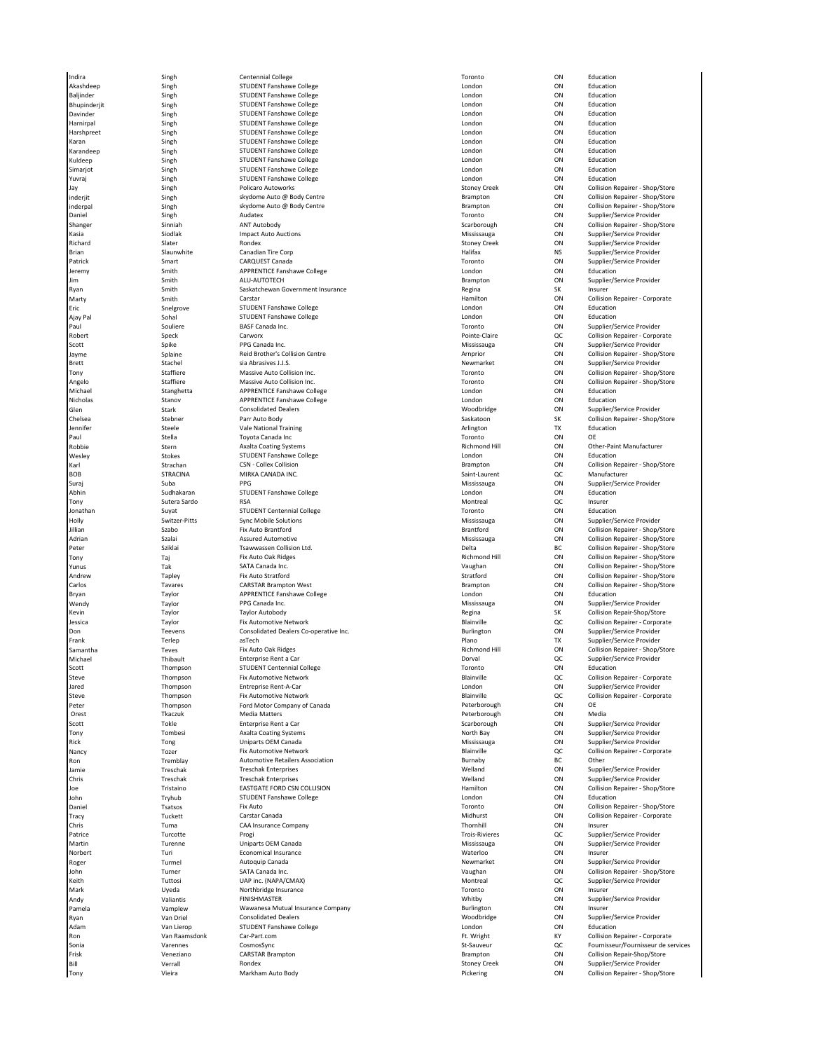Indira Singh Centennial College Toronto ON Education Akashdeep Singh STUDENT Fanshawe College STUDENT Fanshawe College London London ON Education munical strategy of the STUDENT Fanshawe College (Stategy of Studies and London on Schutztion Singh STUDENT Fanshawe College (Stategy of London on Schutztion Distriction Singh STUDENT Fanshawe College (Stategy of London on Bhupinderjit Singh STUDENT Fanshawe College London ON Education Davinder Singh STUDENT Fanshawe College London ON Education است بن المسلمين المسلمين المسلمين المسلمين المسلمين المسلمين المسلمين المسلمين المسلمين المسلمين المسلمين المس<br>Harshpreet Singh STUDENT Fanshawe College State Singh STUDENT Fanshawe College State Singh Stucation SILLENT Fanshawe College Karan Singh STUDENT Fanshawe College London ON Education Karandeep Singh STUDENT Fanshawe College London ON Education STUDENT Fanshawe College Simarjot Singh STUDENT Fanshawe College London ON Education y STUDENT Fanshawe College and Student Student London London Contact Contaction Contaction Contaction of Studen<br>Student Student Policaro Autoworks Published Contact Student Student Contact Contact Contaction Collision Repa Jay Singh Policaro Autoworks Stoney Creek ON Collision Repairer - Shop/Store inderjit Singh skydome Auto @ Body Centre Brampton ON Collision Repairer - Shop/Store nderpal Singh skydome Auto @ Body Centre (State Brampton Stampton Collision Repairer - Shop/Store - Shop/Store<br>- Singh Singh Audatex Audatex Auto & Audatex (State Brampton Supplier/Service Provider)<br>- Toronto ON Supplier/ Daniel Singh Audatex Toronto ON Supplier/Service Provider Shanger Sinniah ANT Autobody Scarborough ON Collision Repairer - Shop/Store Impact Auto Auctions Richard Slater Supplier/Service Provider Rondex Creek Stoney Creek ON Supplier/Service Provider Brian Management Slaunwhite Canadian Tire Corp (State of Corp) (State of Halifax (Septer/Service Provider of C<br>Patrick Smart CAROUFST Canada (CAROUFST Canada (Septer/Service Provider of Carolist Canadian ) (Supplier/Servi Patrick Smart Smart CARQUEST Canada COMES CONSERVITY CON Supplier/Service Provider Jeremy Smith APPRENTICE Fanshawe College London ON Education Jim Smith ALU-AUTOTECH Brampton ON Supplier/Service Provider Saskatchewan Government Insurance **Saskatchewan Government Insurance Regina** SK Insurer **SK Insurer**<br>Carstar Component Insurance **Regina** Hamilton **Collision Repairer** - Corporate Marty **Smith Carstar Corporate Carstar** Carstar Corporate Corporate Corporate Corporate Corporate Corporate Corporate Eric Snelgrove STUDENT Fanshawe College London ON Education Ajay Pal Sohal STUDENT Fanshawe College London ON Education Paul Souliere BASF Canada Inc. Toronto ON Supplier/Service Provider Carworx Carworx Carworx Carworx Carworx Carworx Carworx Collision Repairer - Corporate<br>PPG Canada Inc. Collision Repairer - Corporate Carework Collision Repairer - Corporate Provider Scott Spike PPG Canada Inc. Channel Spike PPG Canada Inc. Scott Supplier/Service Provider on Supplier/Service Provider Jayme Splaine Splaine Reid Brother's Collision Centre (Schware Armprior Centre Armprior Centre Armprior Centre<br>The Splaine Splaine Splaine Store (School is a Arnestial Centre Armprior Armprior Collision Repairer - Shop/Sto Brett Stachel Stachel sia Abrasives J.J.S. Newmarket Newmarket ON Supplier/Service Provider Tony Staffiere Massive Auto Collision Inc. Toronto ON Collision Repairer - Shop/Store Angelo Staffiere Massive Auto Collision Inc. Communication of the Collision Repairer - Shop/Store Massive Auto Collision Inc. Collision Repairer - Shop/Store<br>Michael Stanghetta APPRENTICE Fanshawe College College London Lo Michael Stanghawe College London (Education College London College London College London College London College<br>APPRENTICE Fanshawe College London Donald London College London College London (Apple London College London) مست و المستخدم المستخدم المستخدم المستخدم المستخدم المستخدم المستخدم المستخدم المستخدم المستخدم المستخدم المستخ<br>Nicholas Stanov APPRENTICE Fanshawe College And the London Condon ON Extra Stark Consolidated Dealers (2012) Chelsea Stebner Parr Auto Body Saskatoon SK Collision Repairer - Shop/Store الساحة المساحة المساحة المساحة المساحة المساحة المساحة المساحة المساحة المساحة المساحة المساحة المساحة المساحة<br>19 Arlington TX Education Taggles Toyota Canada Inc<br>19 Arlington Toyota Canada Inc Paul Stella Toyota Canada Inc Toronto ON OE Robbie Stern Stern Axalta Coating Systems Richmond Hill ON Other-Paint Manufacturer Channel Axalta Coating Systems Wesley Stokes STUDENT Fanshawe College London ON Education BOB STRACINA MIRKA CANADA INC. SAINT SAINT-LAURENT SAINT-LAURENT QC Manufacturer Suraj Suba PPG Mississauga ON Supplier/Service Provider Abhin Sudhakaran STUDENT Fanshawe College College London London ON Education Tony Sutera Sardo RSA Montreal QC Insurer onathan Survey Studies (Studies of the Studies of the Studies of the Studies of the Studies of the Studies of the Studies of the Studies of the Studies of the Studies of the Studies of the Studies of the Studies of the Stu Holly Switzer-Pitts Sync Mobile Solutions Subsections Mississauga ON Supplier/Service Provider Supplier/Service Provider Jillian Szabo Fix Auto Brantford Brantford ON Collision Repairer - Shop/Store Peter Sziklai Tsawwassen Collision Ltd. Delta BC Collision Repairer - Shop/Store Tony Taj Fix Auto Oak Ridges Richmond Hill ON Collision Repairer - Shop/Store Manda Inc. (Collision Repairer - Shop/Store - SATA Canada Inc. Vaughan Collision Repairer - Shop/Store - Shop/Store<br>Manda Stratford Christian Collision Repairer - Shop/Store - Stratford Collision Repairer - Shop/Store - Sh Andrew Tapley Fix Auto Stratford Stratford ON Collision Repairer - Shop/Store CARSTAR Brampton West CARSTAR Brampton West Carlos Brampton Collision Repairer - Shop/Store<br>Carlos Tavares CARSTAR Brampton West Brampton College College Carlos Brampton Collision Repairer - Shop/Store<br>Tavlor Tavares APPRE APPRENTICE Fanshawe College<br>
1989 PPG Canada Inc. College London College London College London College London ON Supplier/Service Provider Wendy **Taylor Taggior** PPG Canada Inc. The Canada Inc. Consumer Canada Inc. Mississauga ON Supplier/Service Provider .<br>Kevin Taylor Taylor Taylor Autobody and the Segment Regina SK Collision Repair-Shop/Store Taylor Collision Rep Jessica Taylor Fix Automotive Network Blainville QC Collision Repairer - Corporate Don Teevens Consolidated Dealers Co-operative Inc. Burlington ON Supplier/Service Provider asTech Plano Terms and Terms and Terms asteroider and Terms and Terms and Terms and Terms and Terms and Terms a<br>Fix Auto Oak Ridees Terms and Terms and Terms and Terms and Terms and Terms and Terms and Terms and Terms and Samantha Teves Fix Auto Oak Ridges Richmond Hill ON Collision Repairer - Shop/Store Michael Thibault Enterprise Rent a Car Dorval QC Supplier/Service Provider STUDENT Centennial College Steve Thompson Fix Automotive Network Blainville QC Collision Repairer - Corporate Jared Thompson Entreprise Rent-A-Car London ON Supplier/Service Provider Peter **1988** Thompson Ford Motor Company of Canada **Peter School Company of Canada** Peterborough ON OE<br>Peterborough ON Media Matters Media Matters Orest Tkaczuk Media Matters Peterborough ON Media Scott Scott Enterprise Rent a Car Scarborough Scarborough ON Supplier/Service Provider Tony Tombesi Axalta Coating Systems North Bay ON Supplier/Service Provider Rick Tong Tong Uniparts OEM Canada Canada Canada Mississauga ON Supplier/Service Provider Nancy Collision Repairer - Corporate Fix Automotive Network **Blainville** Blainville **Blainville** QC Collision Repairer - Corporate Ron Tremblay Automotive Retailers Association Burnaby BC Other amie Samie Schwarter (Service Provider Treschak Enterprises Schwarter (Service Provider Mediand ON Supplier/Service Provider<br>Treschak Treschak Treschak Enterprises Schwarter (Service Provider Welland ON Supplier/Service Pr Chris Chris Treschak Treschak Enterprises Welland Welland ON Supplier/Service Provider Joe Tristaino EASTGATE FORD CSN COLLISION Hamilton ON Collision Repairer - Shop/Store STUDENT Fanshawe College London College London College London College London College London College London College London College London College London College London College London College London College London College Lo مات و التعليم المستقلة التي تعليم المستقلة المستقلة التي تعليم المستقلة التي تعليم المستقلة التي تعليم التي يت<br>Tracy Tracy Tracy Tracy Tuckett Carstar Canada Tracy Tuckett Carstar Canada Midhurst ON Collision Repairer - Corporate Chris **Tuma** CAA Insurance Company CAA Insurance Company Christian Company Christian Company Christian Company Company Patrice بوي Trois-Rivieres وProgi Trois-Rivieres وPatrice Trois-Rivieres وProgi Trois-Rivieres وPatrice Provider<br>Martin Turenne Uniparts OEM Canada (Provider Mississauga Mississauga – ON Supplier/Service Provider Martin 1986 Turenne 1986 Uniparts OEM Canada 1986 Supplier Service Provider Units of the University ON Supplier/Service Provider<br>Morbert 1986 Turi Canada Mississauga Commical Insurance Norbert **Turi** Turi Economical Insurance **Northern Communist Communist Communist Communist Communist Communist Communist Communist Communist Communist Communist Communist Communist Communist Communist Communist Communist C** Roger Sommen Hurmel Autoquip Canada (Automarket Newmarket ON Supplier/Service Provider<br>New Turner SATA Canada Inc. (Autorism SATA Canada Inc. Shop)'s Daughan (Autorism ON Collision Repairer - Shop) John Turner SATA Canada Inc. Vaughan ON Collision Repairer - Shop/Store Keith Charles (NAP inc. (NAPA/CMAX) (NAPA And the Supplier/Service Provider and Tuttosi UAP inc. (NAPA/CMAX) Mark Uyeda Northbridge Insurance Toronto ON Insurer Andy Charles Valiantis This FINISHMASTER FINISHMASTER Supplier/Service Provider Material on Supplier/Service Provider ( Pamela Vamplew Wawanesa Mutual Insurance Company Burlington ON Insurer Ryan Van Driel Consolidated Dealers Woodbridge ON Supplier/Service Provider STUDENT Fanshawe College **Adam Van London Car-Part.com** Car-Part.com Car-Part.com Car-Ron 1997 - The View Wan Raamsdonk [Car-Part.com](https://linkprotect.cudasvc.com/url?a=https%3a%2f%2fCar-Part.com&c=E,1,J0trKeyubwCBGWPNx7HPMLQm8EQjsuaDu-4BybiG1nmoH3ySkt14UhZ_nrHRNkHXCQaFMbHqjCB97OV_tTy7OXiRVV4dnC7RUccvoYHTxw8poePCY9Q,&typo=1) المستخدم المستخدم المستخدم والتعارية والتعارية والتعارية والتعارية<br>1997 - Sonia Varennes Varennes CosmosSync Sonia 1986 Sonia Varennes CosmosSync CosmosSync Stephen Communist Communist Communist Communist Communist Communist<br>Strick Stephen Controller Controller Controller Communist Communist Communist Communist Communist Communis Frisk Veneziano CARSTAR Brampton Brampton ON Collision Repair-Shop/Store Bill March Verrall Mondex (Rondex Creek Stoney Creek ON Supplier/Service Provider<br>۱۳۹۲ - Tony Collision Repairer - Shop Tony Vieira Markham Auto Body Pickering ON Collision Repairer - Shop/Store

Supplier/Service Provider Collision Repairer - Shop/Store Collision Repairer - Shop/Store Collision Repairer - Corporate